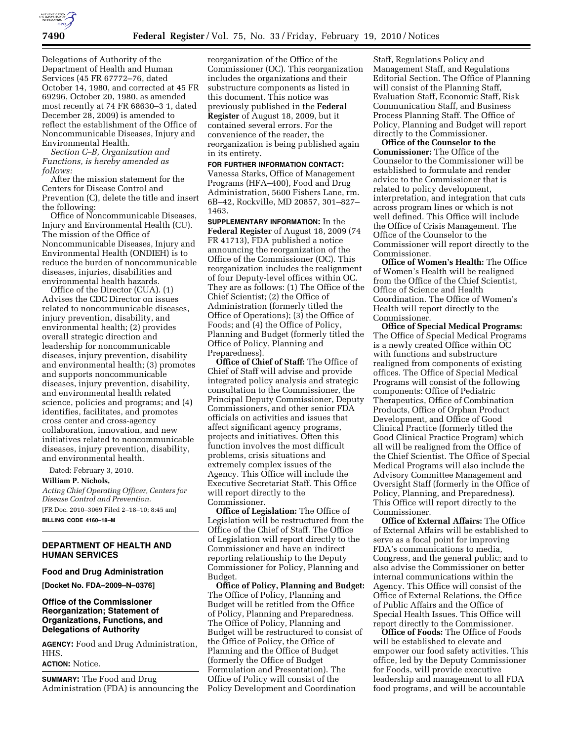

Delegations of Authority of the Department of Health and Human Services (45 FR 67772–76, dated October 14, 1980, and corrected at 45 FR 69296, October 20, 1980, as amended most recently at 74 FR 68630–3 1, dated December 28, 2009) is amended to reflect the establishment of the Office of Noncommunicable Diseases, Injury and Environmental Health.

*Section C–B, Organization and Functions, is hereby amended as follows:* 

After the mission statement for the Centers for Disease Control and Prevention (C), delete the title and insert the following:

Office of Noncommunicable Diseases, Injury and Environmental Health (CU). The mission of the Office of Noncommunicable Diseases, Injury and Environmental Health (ONDIEH) is to reduce the burden of noncommunicable diseases, injuries, disabilities and environmental health hazards.

Office of the Director (CUA). (1) Advises the CDC Director on issues related to noncommunicable diseases, injury prevention, disability, and environmental health; (2) provides overall strategic direction and leadership for noncommunicable diseases, injury prevention, disability and environmental health; (3) promotes and supports noncommunicable diseases, injury prevention, disability, and environmental health related science, policies and programs; and (4) identifies, facilitates, and promotes cross center and cross-agency collaboration, innovation, and new initiatives related to noncommunicable diseases, injury prevention, disability, and environmental health.

Dated: February 3, 2010.

#### **William P. Nichols,**

*Acting Chief Operating Officer, Centers for Disease Control and Prevention.* 

[FR Doc. 2010–3069 Filed 2–18–10; 8:45 am] **BILLING CODE 4160–18–M** 

## **DEPARTMENT OF HEALTH AND HUMAN SERVICES**

#### **Food and Drug Administration**

**[Docket No. FDA–2009–N–0376]** 

## **Office of the Commissioner Reorganization; Statement of Organizations, Functions, and Delegations of Authority**

**AGENCY:** Food and Drug Administration, HHS.

## **ACTION:** Notice.

**SUMMARY:** The Food and Drug Administration (FDA) is announcing the

reorganization of the Office of the Commissioner (OC). This reorganization includes the organizations and their substructure components as listed in this document. This notice was previously published in the **Federal Register** of August 18, 2009, but it contained several errors. For the convenience of the reader, the reorganization is being published again in its entirety.

# **FOR FURTHER INFORMATION CONTACT:**

Vanessa Starks, Office of Management Programs (HFA–400), Food and Drug Administration, 5600 Fishers Lane, rm. 6B–42, Rockville, MD 20857, 301–827– 1463.

**SUPPLEMENTARY INFORMATION:** In the **Federal Register** of August 18, 2009 (74 FR 41713), FDA published a notice announcing the reorganization of the Office of the Commissioner (OC). This reorganization includes the realignment of four Deputy-level offices within OC. They are as follows: (1) The Office of the Chief Scientist; (2) the Office of Administration (formerly titled the Office of Operations); (3) the Office of Foods; and (4) the Office of Policy, Planning and Budget (formerly titled the Office of Policy, Planning and Preparedness).

**Office of Chief of Staff:** The Office of Chief of Staff will advise and provide integrated policy analysis and strategic consultation to the Commissioner, the Principal Deputy Commissioner, Deputy Commissioners, and other senior FDA officials on activities and issues that affect significant agency programs, projects and initiatives. Often this function involves the most difficult problems, crisis situations and extremely complex issues of the Agency. This Office will include the Executive Secretariat Staff. This Office will report directly to the Commissioner.

**Office of Legislation:** The Office of Legislation will be restructured from the Office of the Chief of Staff. The Office of Legislation will report directly to the Commissioner and have an indirect reporting relationship to the Deputy Commissioner for Policy, Planning and Budget.

**Office of Policy, Planning and Budget:**  The Office of Policy, Planning and Budget will be retitled from the Office of Policy, Planning and Preparedness. The Office of Policy, Planning and Budget will be restructured to consist of the Office of Policy, the Office of Planning and the Office of Budget (formerly the Office of Budget Formulation and Presentation). The Office of Policy will consist of the Policy Development and Coordination

Staff, Regulations Policy and Management Staff, and Regulations Editorial Section. The Office of Planning will consist of the Planning Staff, Evaluation Staff, Economic Staff, Risk Communication Staff, and Business Process Planning Staff. The Office of Policy, Planning and Budget will report directly to the Commissioner.

**Office of the Counselor to the Commissioner:** The Office of the Counselor to the Commissioner will be established to formulate and render advice to the Commissioner that is related to policy development, interpretation, and integration that cuts across program lines or which is not well defined. This Office will include the Office of Crisis Management. The Office of the Counselor to the Commissioner will report directly to the Commissioner.

**Office of Women's Health:** The Office of Women's Health will be realigned from the Office of the Chief Scientist, Office of Science and Health Coordination. The Office of Women's Health will report directly to the Commissioner.

**Office of Special Medical Programs:**  The Office of Special Medical Programs is a newly created Office within OC with functions and substructure realigned from components of existing offices. The Office of Special Medical Programs will consist of the following components: Office of Pediatric Therapeutics, Office of Combination Products, Office of Orphan Product Development, and Office of Good Clinical Practice (formerly titled the Good Clinical Practice Program) which all will be realigned from the Office of the Chief Scientist. The Office of Special Medical Programs will also include the Advisory Committee Management and Oversight Staff (formerly in the Office of Policy, Planning, and Preparedness). This Office will report directly to the Commissioner.

**Office of External Affairs:** The Office of External Affairs will be established to serve as a focal point for improving FDA's communications to media, Congress, and the general public; and to also advise the Commissioner on better internal communications within the Agency. This Office will consist of the Office of External Relations, the Office of Public Affairs and the Office of Special Health Issues. This Office will report directly to the Commissioner.

**Office of Foods:** The Office of Foods will be established to elevate and empower our food safety activities. This office, led by the Deputy Commissioner for Foods, will provide executive leadership and management to all FDA food programs, and will be accountable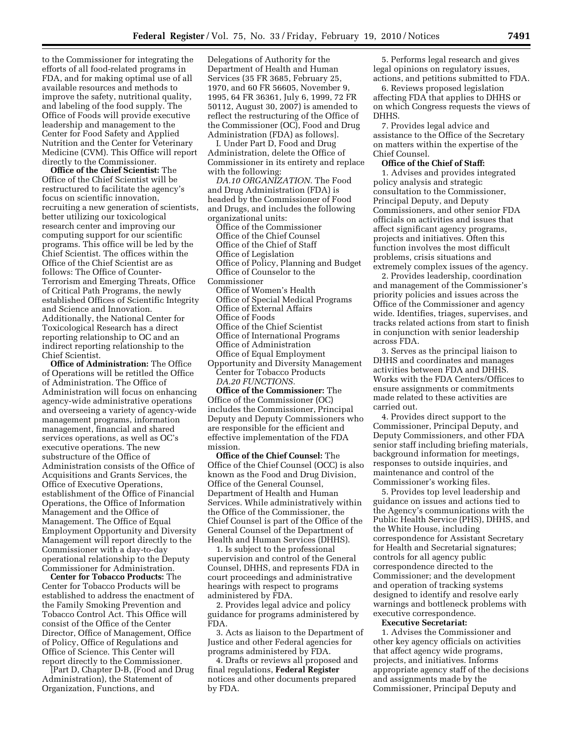to the Commissioner for integrating the efforts of all food-related programs in FDA, and for making optimal use of all available resources and methods to improve the safety, nutritional quality, and labeling of the food supply. The Office of Foods will provide executive leadership and management to the Center for Food Safety and Applied Nutrition and the Center for Veterinary Medicine (CVM). This Office will report directly to the Commissioner.

**Office of the Chief Scientist:** The Office of the Chief Scientist will be restructured to facilitate the agency's focus on scientific innovation, recruiting a new generation of scientists, better utilizing our toxicological research center and improving our computing support for our scientific programs. This office will be led by the Chief Scientist. The offices within the Office of the Chief Scientist are as follows: The Office of Counter-Terrorism and Emerging Threats, Office of Critical Path Programs, the newly established Offices of Scientific Integrity and Science and Innovation. Additionally, the National Center for Toxicological Research has a direct reporting relationship to OC and an indirect reporting relationship to the Chief Scientist.

**Office of Administration:** The Office of Operations will be retitled the Office of Administration. The Office of Administration will focus on enhancing agency-wide administrative operations and overseeing a variety of agency-wide management programs, information management, financial and shared services operations, as well as OC's executive operations. The new substructure of the Office of Administration consists of the Office of Acquisitions and Grants Services, the Office of Executive Operations, establishment of the Office of Financial Operations, the Office of Information Management and the Office of Management. The Office of Equal Employment Opportunity and Diversity Management will report directly to the Commissioner with a day-to-day operational relationship to the Deputy Commissioner for Administration.

**Center for Tobacco Products:** The Center for Tobacco Products will be established to address the enactment of the Family Smoking Prevention and Tobacco Control Act. This Office will consist of the Office of the Center Director, Office of Management, Office of Policy, Office of Regulations and Office of Science. This Center will report directly to the Commissioner.

[Part D, Chapter D-B, (Food and Drug Administration), the Statement of Organization, Functions, and

Delegations of Authority for the Department of Health and Human Services (35 FR 3685, February 25, 1970, and 60 FR 56605, November 9, 1995, 64 FR 36361, July 6, 1999, 72 FR 50112, August 30, 2007) is amended to reflect the restructuring of the Office of the Commissioner (OC), Food and Drug Administration (FDA) as follows].

I. Under Part D, Food and Drug Administration, delete the Office of Commissioner in its entirety and replace with the following:

*DA.10 ORGANIZATION.* The Food and Drug Administration (FDA) is headed by the Commissioner of Food and Drugs, and includes the following organizational units:

Office of the Commissioner Office of the Chief Counsel Office of the Chief of Staff Office of Legislation Office of Policy, Planning and Budget Office of Counselor to the

Commissioner

- Office of Women's Health
- Office of Special Medical Programs
- Office of External Affairs
- Office of Foods
- Office of the Chief Scientist
- Office of International Programs
- Office of Administration
- Office of Equal Employment Opportunity and Diversity Management Center for Tobacco Products
	- *DA.20 FUNCTIONS.*

**Office of the Commissioner:** The Office of the Commissioner (OC) includes the Commissioner, Principal Deputy and Deputy Commissioners who are responsible for the efficient and effective implementation of the FDA mission.

**Office of the Chief Counsel:** The Office of the Chief Counsel (OCC) is also known as the Food and Drug Division, Office of the General Counsel, Department of Health and Human Services. While administratively within the Office of the Commissioner, the Chief Counsel is part of the Office of the General Counsel of the Department of Health and Human Services (DHHS).

1. Is subject to the professional supervision and control of the General Counsel, DHHS, and represents FDA in court proceedings and administrative hearings with respect to programs administered by FDA.

2. Provides legal advice and policy guidance for programs administered by FDA.

3. Acts as liaison to the Department of Justice and other Federal agencies for programs administered by FDA.

4. Drafts or reviews all proposed and final regulations, **Federal Register**  notices and other documents prepared by FDA.

5. Performs legal research and gives legal opinions on regulatory issues, actions, and petitions submitted to FDA.

6. Reviews proposed legislation affecting FDA that applies to DHHS or on which Congress requests the views of DHHS.

7. Provides legal advice and assistance to the Office of the Secretary on matters within the expertise of the Chief Counsel.

#### **Office of the Chief of Staff:**

1. Advises and provides integrated policy analysis and strategic consultation to the Commissioner, Principal Deputy, and Deputy Commissioners, and other senior FDA officials on activities and issues that affect significant agency programs, projects and initiatives. Often this function involves the most difficult problems, crisis situations and extremely complex issues of the agency.

2. Provides leadership, coordination and management of the Commissioner's priority policies and issues across the Office of the Commissioner and agency wide. Identifies, triages, supervises, and tracks related actions from start to finish in conjunction with senior leadership across FDA.

3. Serves as the principal liaison to DHHS and coordinates and manages activities between FDA and DHHS. Works with the FDA Centers/Offices to ensure assignments or commitments made related to these activities are carried out.

4. Provides direct support to the Commissioner, Principal Deputy, and Deputy Commissioners, and other FDA senior staff including briefing materials, background information for meetings, responses to outside inquiries, and maintenance and control of the Commissioner's working files.

5. Provides top level leadership and guidance on issues and actions tied to the Agency's communications with the Public Health Service (PHS), DHHS, and the White House, including correspondence for Assistant Secretary for Health and Secretarial signatures; controls for all agency public correspondence directed to the Commissioner; and the development and operation of tracking systems designed to identify and resolve early warnings and bottleneck problems with executive correspondence.

## **Executive Secretariat:**

1. Advises the Commissioner and other key agency officials on activities that affect agency wide programs, projects, and initiatives. Informs appropriate agency staff of the decisions and assignments made by the Commissioner, Principal Deputy and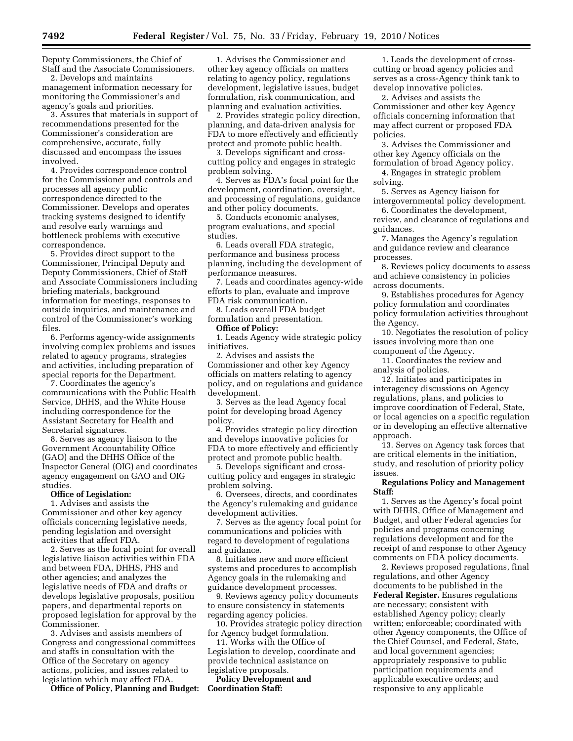Deputy Commissioners, the Chief of Staff and the Associate Commissioners.

2. Develops and maintains management information necessary for monitoring the Commissioner's and agency's goals and priorities.

3. Assures that materials in support of recommendations presented for the Commissioner's consideration are comprehensive, accurate, fully discussed and encompass the issues involved.

4. Provides correspondence control for the Commissioner and controls and processes all agency public correspondence directed to the Commissioner. Develops and operates tracking systems designed to identify and resolve early warnings and bottleneck problems with executive correspondence.

5. Provides direct support to the Commissioner, Principal Deputy and Deputy Commissioners, Chief of Staff and Associate Commissioners including briefing materials, background information for meetings, responses to outside inquiries, and maintenance and control of the Commissioner's working files.

6. Performs agency-wide assignments involving complex problems and issues related to agency programs, strategies and activities, including preparation of special reports for the Department.

7. Coordinates the agency's communications with the Public Health Service, DHHS, and the White House including correspondence for the Assistant Secretary for Health and Secretarial signatures.

8. Serves as agency liaison to the Government Accountability Office (GAO) and the DHHS Office of the Inspector General (OIG) and coordinates agency engagement on GAO and OIG studies.

#### **Office of Legislation:**

1. Advises and assists the Commissioner and other key agency officials concerning legislative needs, pending legislation and oversight activities that affect FDA.

2. Serves as the focal point for overall legislative liaison activities within FDA and between FDA, DHHS, PHS and other agencies; and analyzes the legislative needs of FDA and drafts or develops legislative proposals, position papers, and departmental reports on proposed legislation for approval by the Commissioner.

3. Advises and assists members of Congress and congressional committees and staffs in consultation with the Office of the Secretary on agency actions, policies, and issues related to legislation which may affect FDA.

**Office of Policy, Planning and Budget:** 

1. Advises the Commissioner and other key agency officials on matters relating to agency policy, regulations development, legislative issues, budget formulation, risk communication, and planning and evaluation activities.

2. Provides strategic policy direction, planning, and data-driven analysis for FDA to more effectively and efficiently protect and promote public health.

3. Develops significant and crosscutting policy and engages in strategic problem solving.

4. Serves as FDA's focal point for the development, coordination, oversight, and processing of regulations, guidance and other policy documents.

5. Conducts economic analyses, program evaluations, and special studies.

6. Leads overall FDA strategic, performance and business process planning, including the development of performance measures.

7. Leads and coordinates agency-wide efforts to plan, evaluate and improve FDA risk communication.

8. Leads overall FDA budget formulation and presentation.

# **Office of Policy:**

1. Leads Agency wide strategic policy initiatives.

2. Advises and assists the Commissioner and other key Agency officials on matters relating to agency policy, and on regulations and guidance development.

3. Serves as the lead Agency focal point for developing broad Agency policy.

4. Provides strategic policy direction and develops innovative policies for FDA to more effectively and efficiently protect and promote public health.

5. Develops significant and crosscutting policy and engages in strategic problem solving.

6. Oversees, directs, and coordinates the Agency's rulemaking and guidance development activities.

7. Serves as the agency focal point for communications and policies with regard to development of regulations and guidance.

8. Initiates new and more efficient systems and procedures to accomplish Agency goals in the rulemaking and guidance development processes.

9. Reviews agency policy documents to ensure consistency in statements regarding agency policies.

10. Provides strategic policy direction for Agency budget formulation.

11. Works with the Office of Legislation to develop, coordinate and provide technical assistance on legislative proposals.

**Policy Development and Coordination Staff:** 

1. Leads the development of crosscutting or broad agency policies and serves as a cross-Agency think tank to develop innovative policies.

2. Advises and assists the Commissioner and other key Agency officials concerning information that may affect current or proposed FDA policies.

3. Advises the Commissioner and other key Agency officials on the formulation of broad Agency policy.

4. Engages in strategic problem solving.

5. Serves as Agency liaison for intergovernmental policy development.

6. Coordinates the development, review, and clearance of regulations and guidances.

7. Manages the Agency's regulation and guidance review and clearance processes.

8. Reviews policy documents to assess and achieve consistency in policies across documents.

9. Establishes procedures for Agency policy formulation and coordinates policy formulation activities throughout the Agency.

10. Negotiates the resolution of policy issues involving more than one component of the Agency.

11. Coordinates the review and analysis of policies.

12. Initiates and participates in interagency discussions on Agency regulations, plans, and policies to improve coordination of Federal, State, or local agencies on a specific regulation or in developing an effective alternative approach.

13. Serves on Agency task forces that are critical elements in the initiation, study, and resolution of priority policy issues.

## **Regulations Policy and Management Staff:**

1. Serves as the Agency's focal point with DHHS, Office of Management and Budget, and other Federal agencies for policies and programs concerning regulations development and for the receipt of and response to other Agency comments on FDA policy documents.

2. Reviews proposed regulations, final regulations, and other Agency documents to be published in the **Federal Register.** Ensures regulations are necessary; consistent with established Agency policy; clearly written; enforceable; coordinated with other Agency components, the Office of the Chief Counsel, and Federal, State, and local government agencies; appropriately responsive to public participation requirements and applicable executive orders; and responsive to any applicable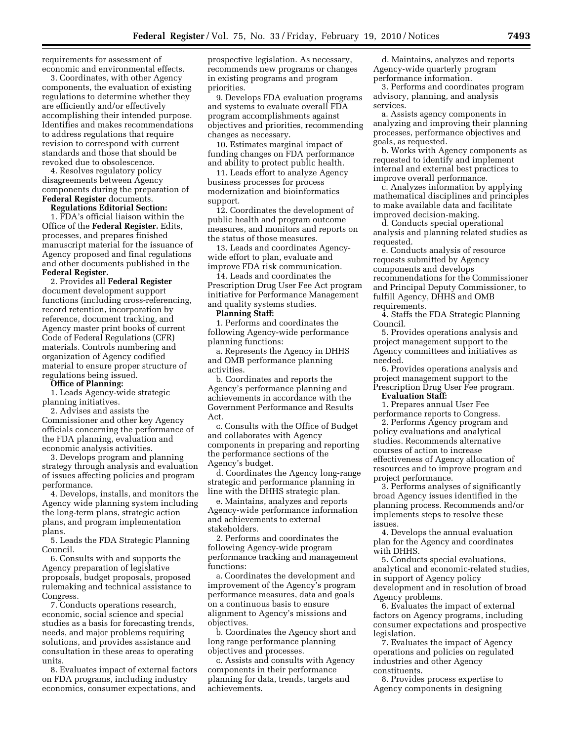requirements for assessment of economic and environmental effects.

3. Coordinates, with other Agency components, the evaluation of existing regulations to determine whether they are efficiently and/or effectively accomplishing their intended purpose. Identifies and makes recommendations to address regulations that require revision to correspond with current standards and those that should be revoked due to obsolescence.

4. Resolves regulatory policy disagreements between Agency components during the preparation of **Federal Register** documents.

#### **Regulations Editorial Section:**

1. FDA's official liaison within the Office of the **Federal Register.** Edits, processes, and prepares finished manuscript material for the issuance of Agency proposed and final regulations and other documents published in the **Federal Register.** 

2. Provides all **Federal Register**  document development support functions (including cross-referencing, record retention, incorporation by reference, document tracking, and Agency master print books of current Code of Federal Regulations (CFR) materials. Controls numbering and organization of Agency codified material to ensure proper structure of regulations being issued.

#### **Office of Planning:**

1. Leads Agency-wide strategic planning initiatives.

2. Advises and assists the Commissioner and other key Agency officials concerning the performance of the FDA planning, evaluation and economic analysis activities.

3. Develops program and planning strategy through analysis and evaluation of issues affecting policies and program performance.

4. Develops, installs, and monitors the Agency wide planning system including the long-term plans, strategic action plans, and program implementation plans.

5. Leads the FDA Strategic Planning Council.

6. Consults with and supports the Agency preparation of legislative proposals, budget proposals, proposed rulemaking and technical assistance to Congress.

7. Conducts operations research, economic, social science and special studies as a basis for forecasting trends, needs, and major problems requiring solutions, and provides assistance and consultation in these areas to operating units.

8. Evaluates impact of external factors on FDA programs, including industry economics, consumer expectations, and

prospective legislation. As necessary, recommends new programs or changes in existing programs and program priorities.

9. Develops FDA evaluation programs and systems to evaluate overall FDA program accomplishments against objectives and priorities, recommending changes as necessary.

10. Estimates marginal impact of funding changes on FDA performance and ability to protect public health.

11. Leads effort to analyze Agency business processes for process modernization and bioinformatics support.

12. Coordinates the development of public health and program outcome measures, and monitors and reports on the status of those measures.

13. Leads and coordinates Agencywide effort to plan, evaluate and improve FDA risk communication.

14. Leads and coordinates the Prescription Drug User Fee Act program initiative for Performance Management and quality systems studies.

#### **Planning Staff:**

1. Performs and coordinates the following Agency-wide performance planning functions:

a. Represents the Agency in DHHS and OMB performance planning activities.

b. Coordinates and reports the Agency's performance planning and achievements in accordance with the Government Performance and Results Act.

c. Consults with the Office of Budget and collaborates with Agency components in preparing and reporting the performance sections of the Agency's budget.

d. Coordinates the Agency long-range strategic and performance planning in line with the DHHS strategic plan.

e. Maintains, analyzes and reports Agency-wide performance information and achievements to external stakeholders.

2. Performs and coordinates the following Agency-wide program performance tracking and management functions:

a. Coordinates the development and improvement of the Agency's program performance measures, data and goals on a continuous basis to ensure alignment to Agency's missions and objectives.

b. Coordinates the Agency short and long range performance planning objectives and processes.

c. Assists and consults with Agency components in their performance planning for data, trends, targets and achievements.

d. Maintains, analyzes and reports Agency-wide quarterly program performance information.

3. Performs and coordinates program advisory, planning, and analysis services.

a. Assists agency components in analyzing and improving their planning processes, performance objectives and goals, as requested.

b. Works with Agency components as requested to identify and implement internal and external best practices to improve overall performance.

c. Analyzes information by applying mathematical disciplines and principles to make available data and facilitate improved decision-making.

d. Conducts special operational analysis and planning related studies as requested.

e. Conducts analysis of resource requests submitted by Agency components and develops recommendations for the Commissioner and Principal Deputy Commissioner, to fulfill Agency, DHHS and OMB requirements.

4. Staffs the FDA Strategic Planning Council.

5. Provides operations analysis and project management support to the Agency committees and initiatives as needed.

6. Provides operations analysis and project management support to the Prescription Drug User Fee program.

**Evaluation Staff:** 

1. Prepares annual User Fee performance reports to Congress.

2. Performs Agency program and policy evaluations and analytical studies. Recommends alternative courses of action to increase effectiveness of Agency allocation of resources and to improve program and project performance.

3. Performs analyses of significantly broad Agency issues identified in the planning process. Recommends and/or implements steps to resolve these issues.

4. Develops the annual evaluation plan for the Agency and coordinates with DHHS.

5. Conducts special evaluations, analytical and economic-related studies, in support of Agency policy development and in resolution of broad Agency problems.

6. Evaluates the impact of external factors on Agency programs, including consumer expectations and prospective legislation.

7. Evaluates the impact of Agency operations and policies on regulated industries and other Agency constituents.

8. Provides process expertise to Agency components in designing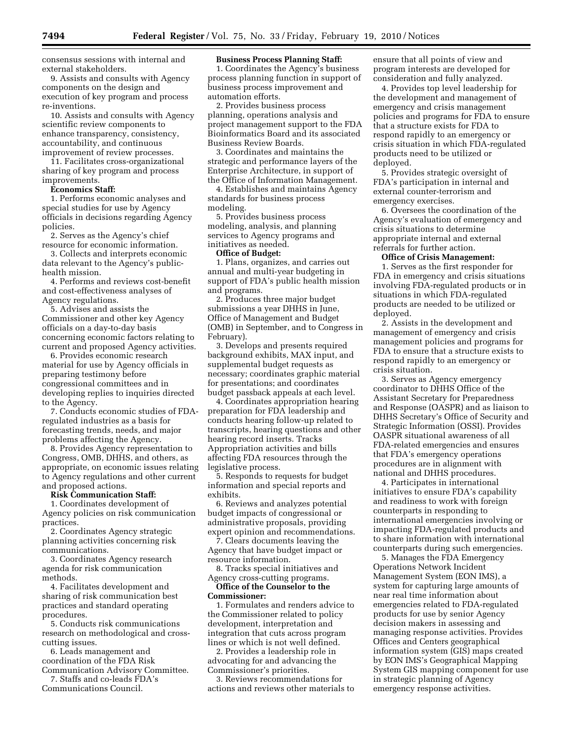consensus sessions with internal and external stakeholders.

9. Assists and consults with Agency components on the design and execution of key program and process re-inventions.

10. Assists and consults with Agency scientific review components to enhance transparency, consistency, accountability, and continuous improvement of review processes.

11. Facilitates cross-organizational sharing of key program and process improvements.

#### **Economics Staff:**

1. Performs economic analyses and special studies for use by Agency officials in decisions regarding Agency policies.

2. Serves as the Agency's chief resource for economic information.

3. Collects and interprets economic data relevant to the Agency's publichealth mission.

4. Performs and reviews cost-benefit and cost-effectiveness analyses of Agency regulations.

5. Advises and assists the Commissioner and other key Agency officials on a day-to-day basis concerning economic factors relating to current and proposed Agency activities.

6. Provides economic research material for use by Agency officials in preparing testimony before congressional committees and in developing replies to inquiries directed to the Agency.

7. Conducts economic studies of FDAregulated industries as a basis for forecasting trends, needs, and major problems affecting the Agency.

8. Provides Agency representation to Congress, OMB, DHHS, and others, as appropriate, on economic issues relating to Agency regulations and other current and proposed actions.

#### **Risk Communication Staff:**

1. Coordinates development of Agency policies on risk communication practices.

2. Coordinates Agency strategic planning activities concerning risk communications.

3. Coordinates Agency research agenda for risk communication methods.

4. Facilitates development and sharing of risk communication best practices and standard operating procedures.

5. Conducts risk communications research on methodological and crosscutting issues.

6. Leads management and coordination of the FDA Risk Communication Advisory Committee.

7. Staffs and co-leads FDA's Communications Council.

#### **Business Process Planning Staff:**

1. Coordinates the Agency's business process planning function in support of business process improvement and automation efforts.

2. Provides business process planning, operations analysis and project management support to the FDA Bioinformatics Board and its associated Business Review Boards.

3. Coordinates and maintains the strategic and performance layers of the Enterprise Architecture, in support of the Office of Information Management.

4. Establishes and maintains Agency standards for business process modeling.

5. Provides business process modeling, analysis, and planning services to Agency programs and initiatives as needed.

#### **Office of Budget:**

1. Plans, organizes, and carries out annual and multi-year budgeting in support of FDA's public health mission and programs.

2. Produces three major budget submissions a year DHHS in June, Office of Management and Budget (OMB) in September, and to Congress in February).

3. Develops and presents required background exhibits, MAX input, and supplemental budget requests as necessary; coordinates graphic material for presentations; and coordinates budget passback appeals at each level.

4. Coordinates appropriation hearing preparation for FDA leadership and conducts hearing follow-up related to transcripts, hearing questions and other hearing record inserts. Tracks Appropriation activities and bills affecting FDA resources through the legislative process.

5. Responds to requests for budget information and special reports and exhibits.

6. Reviews and analyzes potential budget impacts of congressional or administrative proposals, providing expert opinion and recommendations.

7. Clears documents leaving the Agency that have budget impact or resource information.

8. Tracks special initiatives and Agency cross-cutting programs.

**Office of the Counselor to the Commissioner:** 

1. Formulates and renders advice to the Commissioner related to policy development, interpretation and integration that cuts across program lines or which is not well defined.

2. Provides a leadership role in advocating for and advancing the Commissioner's priorities.

3. Reviews recommendations for actions and reviews other materials to ensure that all points of view and program interests are developed for consideration and fully analyzed.

4. Provides top level leadership for the development and management of emergency and crisis management policies and programs for FDA to ensure that a structure exists for FDA to respond rapidly to an emergency or crisis situation in which FDA-regulated products need to be utilized or deployed.

5. Provides strategic oversight of FDA's participation in internal and external counter-terrorism and emergency exercises.

6. Oversees the coordination of the Agency's evaluation of emergency and crisis situations to determine appropriate internal and external referrals for further action.

#### **Office of Crisis Management:**

1. Serves as the first responder for FDA in emergency and crisis situations involving FDA-regulated products or in situations in which FDA-regulated products are needed to be utilized or deployed.

2. Assists in the development and management of emergency and crisis management policies and programs for FDA to ensure that a structure exists to respond rapidly to an emergency or crisis situation.

3. Serves as Agency emergency coordinator to DHHS Office of the Assistant Secretary for Preparedness and Response (OASPR) and as liaison to DHHS Secretary's Office of Security and Strategic Information (OSSI). Provides OASPR situational awareness of all FDA-related emergencies and ensures that FDA's emergency operations procedures are in alignment with national and DHHS procedures.

4. Participates in international initiatives to ensure FDA's capability and readiness to work with foreign counterparts in responding to international emergencies involving or impacting FDA-regulated products and to share information with international counterparts during such emergencies.

5. Manages the FDA Emergency Operations Network Incident Management System (EON IMS), a system for capturing large amounts of near real time information about emergencies related to FDA-regulated products for use by senior Agency decision makers in assessing and managing response activities. Provides Offices and Centers geographical information system (GIS) maps created by EON IMS's Geographical Mapping System GIS mapping component for use in strategic planning of Agency emergency response activities.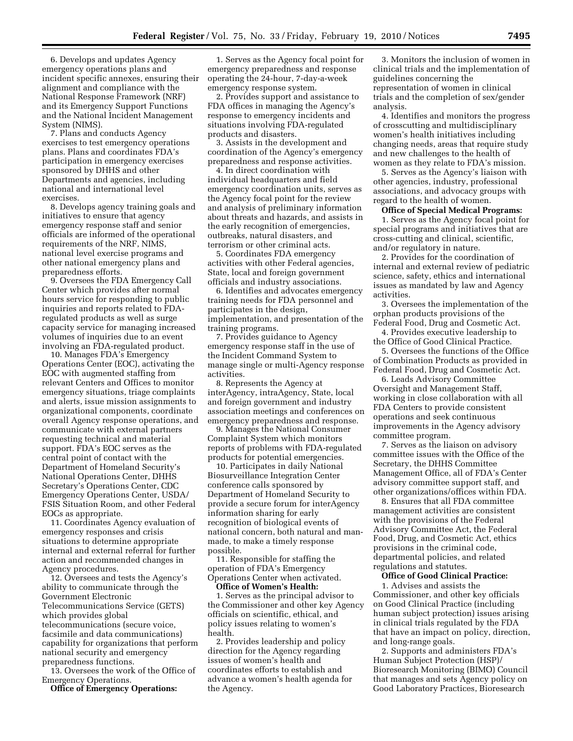6. Develops and updates Agency emergency operations plans and incident specific annexes, ensuring their alignment and compliance with the National Response Framework (NRF) and its Emergency Support Functions and the National Incident Management System (NIMS).

7. Plans and conducts Agency exercises to test emergency operations plans. Plans and coordinates FDA's participation in emergency exercises sponsored by DHHS and other Departments and agencies, including national and international level exercises.

8. Develops agency training goals and initiatives to ensure that agency emergency response staff and senior officials are informed of the operational requirements of the NRF, NIMS, national level exercise programs and other national emergency plans and preparedness efforts.

9. Oversees the FDA Emergency Call Center which provides after normal hours service for responding to public inquiries and reports related to FDAregulated products as well as surge capacity service for managing increased volumes of inquiries due to an event involving an FDA-regulated product.

10. Manages FDA's Emergency Operations Center (EOC), activating the EOC with augmented staffing from relevant Centers and Offices to monitor emergency situations, triage complaints and alerts, issue mission assignments to organizational components, coordinate overall Agency response operations, and communicate with external partners requesting technical and material support. FDA's EOC serves as the central point of contact with the Department of Homeland Security's National Operations Center, DHHS Secretary's Operations Center, CDC Emergency Operations Center, USDA/ FSIS Situation Room, and other Federal EOCs as appropriate.

11. Coordinates Agency evaluation of emergency responses and crisis situations to determine appropriate internal and external referral for further action and recommended changes in Agency procedures.

12. Oversees and tests the Agency's ability to communicate through the Government Electronic Telecommunications Service (GETS) which provides global telecommunications (secure voice, facsimile and data communications) capability for organizations that perform national security and emergency preparedness functions.

13. Oversees the work of the Office of Emergency Operations.

**Office of Emergency Operations:** 

1. Serves as the Agency focal point for emergency preparedness and response operating the 24-hour, 7-day-a-week emergency response system.

2. Provides support and assistance to FDA offices in managing the Agency's response to emergency incidents and situations involving FDA-regulated products and disasters.

3. Assists in the development and coordination of the Agency's emergency preparedness and response activities.

4. In direct coordination with individual headquarters and field emergency coordination units, serves as the Agency focal point for the review and analysis of preliminary information about threats and hazards, and assists in the early recognition of emergencies, outbreaks, natural disasters, and terrorism or other criminal acts.

5. Coordinates FDA emergency activities with other Federal agencies, State, local and foreign government officials and industry associations.

6. Identifies and advocates emergency training needs for FDA personnel and participates in the design, implementation, and presentation of the training programs.

7. Provides guidance to Agency emergency response staff in the use of the Incident Command System to manage single or multi-Agency response activities.

8. Represents the Agency at interAgency, intraAgency, State, local and foreign government and industry association meetings and conferences on emergency preparedness and response.

9. Manages the National Consumer Complaint System which monitors reports of problems with FDA-regulated products for potential emergencies.

10. Participates in daily National Biosurveillance Integration Center conference calls sponsored by Department of Homeland Security to provide a secure forum for interAgency information sharing for early recognition of biological events of national concern, both natural and manmade, to make a timely response possible.

11. Responsible for staffing the operation of FDA's Emergency Operations Center when activated.

**Office of Women's Health:**  1. Serves as the principal advisor to the Commissioner and other key Agency officials on scientific, ethical, and policy issues relating to women's health.

2. Provides leadership and policy direction for the Agency regarding issues of women's health and coordinates efforts to establish and advance a women's health agenda for the Agency.

3. Monitors the inclusion of women in clinical trials and the implementation of guidelines concerning the representation of women in clinical trials and the completion of sex/gender analysis.

4. Identifies and monitors the progress of crosscutting and multidisciplinary women's health initiatives including changing needs, areas that require study and new challenges to the health of women as they relate to FDA's mission.

5. Serves as the Agency's liaison with other agencies, industry, professional associations, and advocacy groups with regard to the health of women.

#### **Office of Special Medical Programs:**

1. Serves as the Agency focal point for special programs and initiatives that are cross-cutting and clinical, scientific, and/or regulatory in nature.

2. Provides for the coordination of internal and external review of pediatric science, safety, ethics and international issues as mandated by law and Agency activities.

3. Oversees the implementation of the orphan products provisions of the Federal Food, Drug and Cosmetic Act.

4. Provides executive leadership to the Office of Good Clinical Practice.

5. Oversees the functions of the Office of Combination Products as provided in Federal Food, Drug and Cosmetic Act.

6. Leads Advisory Committee Oversight and Management Staff, working in close collaboration with all FDA Centers to provide consistent operations and seek continuous improvements in the Agency advisory committee program.

7. Serves as the liaison on advisory committee issues with the Office of the Secretary, the DHHS Committee Management Office, all of FDA's Center advisory committee support staff, and other organizations/offices within FDA.

8. Ensures that all FDA committee management activities are consistent with the provisions of the Federal Advisory Committee Act, the Federal Food, Drug, and Cosmetic Act, ethics provisions in the criminal code, departmental policies, and related regulations and statutes.

## **Office of Good Clinical Practice:**

1. Advises and assists the Commissioner, and other key officials on Good Clinical Practice (including human subject protection) issues arising in clinical trials regulated by the FDA that have an impact on policy, direction, and long-range goals.

2. Supports and administers FDA's Human Subject Protection (HSP)/ Bioresearch Monitoring (BIMO) Council that manages and sets Agency policy on Good Laboratory Practices, Bioresearch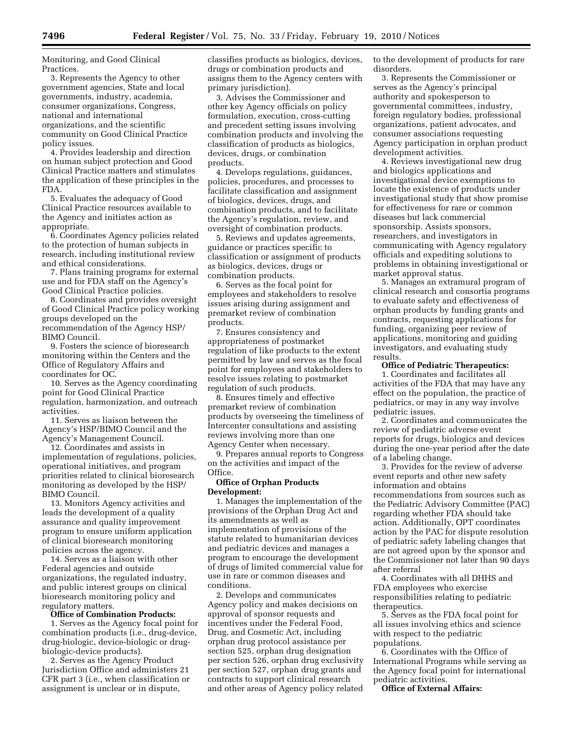Monitoring, and Good Clinical Practices.

3. Represents the Agency to other government agencies, State and local governments, industry, academia, consumer organizations, Congress, national and international organizations, and the scientific community on Good Clinical Practice policy issues.

4. Provides leadership and direction on human subject protection and Good Clinical Practice matters and stimulates the application of these principles in the FDA.

5. Evaluates the adequacy of Good Clinical Practice resources available to the Agency and initiates action as appropriate.

6. Coordinates Agency policies related to the protection of human subjects in research, including institutional review and ethical considerations.

7. Plans training programs for external use and for FDA staff on the Agency's Good Clinical Practice policies.

8. Coordinates and provides oversight of Good Clinical Practice policy working groups developed on the recommendation of the Agency HSP/ BIMO Council.

9. Fosters the science of bioresearch monitoring within the Centers and the Office of Regulatory Affairs and coordinates for OC.

10. Serves as the Agency coordinating point for Good Clinical Practice regulation, harmonization, and outreach activities.

11. Serves as liaison between the Agency's HSP/BIMO Council and the Agency's Management Council.

12. Coordinates and assists in implementation of regulations, policies, operational initiatives, and program priorities related to clinical bioresearch monitoring as developed by the HSP/ BIMO Council.

13. Monitors Agency activities and leads the development of a quality assurance and quality improvement program to ensure uniform application of clinical bioresearch monitoring policies across the agency.

14. Serves as a liaison with other Federal agencies and outside organizations, the regulated industry, and public interest groups on clinical bioresearch monitoring policy and regulatory matters.

#### **Office of Combination Products:**

1. Serves as the Agency focal point for combination products (i.e., drug-device, drug-biologic, device-biologic or drugbiologic-device products).

2. Serves as the Agency Product Jurisdiction Office and administers 21 CFR part 3 (i.e., when classification or assignment is unclear or in dispute,

classifies products as biologics, devices, drugs or combination products and assigns them to the Agency centers with primary jurisdiction).

3. Advises the Commissioner and other key Agency officials on policy formulation, execution, cross-cutting and precedent setting issues involving combination products and involving the classification of products as biologics, devices, drugs, or combination products.

4. Develops regulations, guidances, policies, procedures, and processes to facilitate classification and assignment of biologics, devices, drugs, and combination products, and to facilitate the Agency's regulation, review, and oversight of combination products.

5. Reviews and updates agreements, guidance or practices specific to classification or assignment of products as biologics, devices, drugs or combination products.

6. Serves as the focal point for employees and stakeholders to resolve issues arising during assignment and premarket review of combination products.

7. Ensures consistency and appropriateness of postmarket regulation of like products to the extent permitted by law and serves as the focal point for employees and stakeholders to resolve issues relating to postmarket regulation of such products.

8. Ensures timely and effective premarket review of combination products by overseeing the timeliness of Intercenter consultations and assisting reviews involving more than one Agency Center when necessary.

9. Prepares annual reports to Congress on the activities and impact of the Office.

## **Office of Orphan Products Development:**

1. Manages the implementation of the provisions of the Orphan Drug Act and its amendments as well as implementation of provisions of the statute related to humanitarian devices and pediatric devices and manages a program to encourage the development of drugs of limited commercial value for use in rare or common diseases and conditions.

2. Develops and communicates Agency policy and makes decisions on approval of sponsor requests and incentives under the Federal Food, Drug, and Cosmetic Act, including orphan drug protocol assistance per section 525, orphan drug designation per section 526, orphan drug exclusivity per section 527, orphan drug grants and contracts to support clinical research and other areas of Agency policy related

to the development of products for rare disorders.

3. Represents the Commissioner or serves as the Agency's principal authority and spokesperson to governmental committees, industry, foreign regulatory bodies, professional organizations, patient advocates, and consumer associations requesting Agency participation in orphan product development activities.

4. Reviews investigational new drug and biologics applications and investigational device exemptions to locate the existence of products under investigational study that show promise for effectiveness for rare or common diseases but lack commercial sponsorship. Assists sponsors, researchers, and investigators in communicating with Agency regulatory officials and expediting solutions to problems in obtaining investigational or market approval status.

5. Manages an extramural program of clinical research and consortia programs to evaluate safety and effectiveness of orphan products by funding grants and contracts, requesting applications for funding, organizing peer review of applications, monitoring and guiding investigators, and evaluating study results.

#### **Office of Pediatric Therapeutics:**

1. Coordinates and facilitates all activities of the FDA that may have any effect on the population, the practice of pediatrics, or may in any way involve pediatric issues.

2. Coordinates and communicates the review of pediatric adverse event reports for drugs, biologics and devices during the one-year period after the date of a labeling change.

3. Provides for the review of adverse event reports and other new safety information and obtains recommendations from sources such as the Pediatric Advisory Committee (PAC) regarding whether FDA should take action. Additionally, OPT coordinates action by the PAC for dispute resolution of pediatric safety labeling changes that are not agreed upon by the sponsor and the Commissioner not later than 90 days after referral

4. Coordinates with all DHHS and FDA employees who exercise responsibilities relating to pediatric therapeutics.

5. Serves as the FDA focal point for all issues involving ethics and science with respect to the pediatric populations.

6. Coordinates with the Office of International Programs while serving as the Agency focal point for international pediatric activities.

**Office of External Affairs:**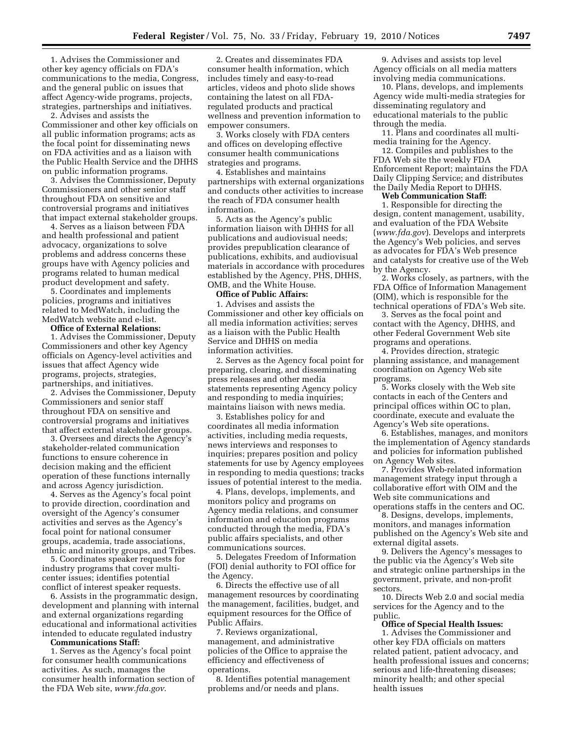1. Advises the Commissioner and other key agency officials on FDA's communications to the media, Congress, and the general public on issues that affect Agency-wide programs, projects, strategies, partnerships and initiatives.

2. Advises and assists the Commissioner and other key officials on all public information programs; acts as the focal point for disseminating news on FDA activities and as a liaison with the Public Health Service and the DHHS on public information programs.

3. Advises the Commissioner, Deputy Commissioners and other senior staff throughout FDA on sensitive and controversial programs and initiatives that impact external stakeholder groups.

4. Serves as a liaison between FDA and health professional and patient advocacy, organizations to solve problems and address concerns these groups have with Agency policies and programs related to human medical product development and safety.

5. Coordinates and implements policies, programs and initiatives related to MedWatch, including the MedWatch website and e-list.

## **Office of External Relations:**

1. Advises the Commissioner, Deputy Commissioners and other key Agency officials on Agency-level activities and issues that affect Agency wide programs, projects, strategies, partnerships, and initiatives.

2. Advises the Commissioner, Deputy Commissioners and senior staff throughout FDA on sensitive and controversial programs and initiatives that affect external stakeholder groups.

3. Oversees and directs the Agency's stakeholder-related communication functions to ensure coherence in decision making and the efficient operation of these functions internally and across Agency jurisdiction.

4. Serves as the Agency's focal point to provide direction, coordination and oversight of the Agency's consumer activities and serves as the Agency's focal point for national consumer groups, academia, trade associations, ethnic and minority groups, and Tribes.

5. Coordinates speaker requests for industry programs that cover multicenter issues; identifies potential conflict of interest speaker requests.

6. Assists in the programmatic design, development and planning with internal and external organizations regarding educational and informational activities intended to educate regulated industry

**Communications Staff:** 

1. Serves as the Agency's focal point for consumer health communications activities. As such, manages the consumer health information section of the FDA Web site, *www.fda.gov*.

2. Creates and disseminates FDA consumer health information, which includes timely and easy-to-read articles, videos and photo slide shows containing the latest on all FDAregulated products and practical wellness and prevention information to empower consumers.

3. Works closely with FDA centers and offices on developing effective consumer health communications strategies and programs.

4. Establishes and maintains partnerships with external organizations and conducts other activities to increase the reach of FDA consumer health information.

5. Acts as the Agency's public information liaison with DHHS for all publications and audiovisual needs; provides prepublication clearance of publications, exhibits, and audiovisual materials in accordance with procedures established by the Agency, PHS, DHHS, OMB, and the White House.

#### **Office of Public Affairs:**

1. Advises and assists the Commissioner and other key officials on all media information activities; serves as a liaison with the Public Health Service and DHHS on media information activities.

2. Serves as the Agency focal point for preparing, clearing, and disseminating press releases and other media statements representing Agency policy and responding to media inquiries; maintains liaison with news media.

3. Establishes policy for and coordinates all media information activities, including media requests, news interviews and responses to inquiries; prepares position and policy statements for use by Agency employees in responding to media questions; tracks issues of potential interest to the media.

4. Plans, develops, implements, and monitors policy and programs on Agency media relations, and consumer information and education programs conducted through the media, FDA's public affairs specialists, and other communications sources.

5. Delegates Freedom of Information (FOI) denial authority to FOI office for the Agency.

6. Directs the effective use of all management resources by coordinating the management, facilities, budget, and equipment resources for the Office of Public Affairs.

7. Reviews organizational, management, and administrative policies of the Office to appraise the efficiency and effectiveness of operations.

8. Identifies potential management problems and/or needs and plans.

9. Advises and assists top level Agency officials on all media matters involving media communications.

10. Plans, develops, and implements Agency wide multi-media strategies for disseminating regulatory and educational materials to the public through the media.

11. Plans and coordinates all multimedia training for the Agency.

12. Compiles and publishes to the FDA Web site the weekly FDA Enforcement Report; maintains the FDA Daily Clipping Service; and distributes the Daily Media Report to DHHS.

**Web Communication Staff:** 

1. Responsible for directing the design, content management, usability, and evaluation of the FDA Website (*www.fda.gov*). Develops and interprets the Agency's Web policies, and serves as advocates for FDA's Web presence and catalysts for creative use of the Web by the Agency.

2. Works closely, as partners, with the FDA Office of Information Management (OIM), which is responsible for the technical operations of FDA's Web site.

3. Serves as the focal point and contact with the Agency, DHHS, and other Federal Government Web site programs and operations.

4. Provides direction, strategic planning assistance, and management coordination on Agency Web site programs.

5. Works closely with the Web site contacts in each of the Centers and principal offices within OC to plan, coordinate, execute and evaluate the Agency's Web site operations.

6. Establishes, manages, and monitors the implementation of Agency standards and policies for information published on Agency Web sites.

7. Provides Web-related information management strategy input through a collaborative effort with OIM and the Web site communications and operations staffs in the centers and OC.

8. Designs, develops, implements, monitors, and manages information published on the Agency's Web site and external digital assets.

9. Delivers the Agency's messages to the public via the Agency's Web site and strategic online partnerships in the government, private, and non-profit sectors.

10. Directs Web 2.0 and social media services for the Agency and to the public.

#### **Office of Special Health Issues:**

1. Advises the Commissioner and other key FDA officials on matters related patient, patient advocacy, and health professional issues and concerns; serious and life-threatening diseases; minority health; and other special health issues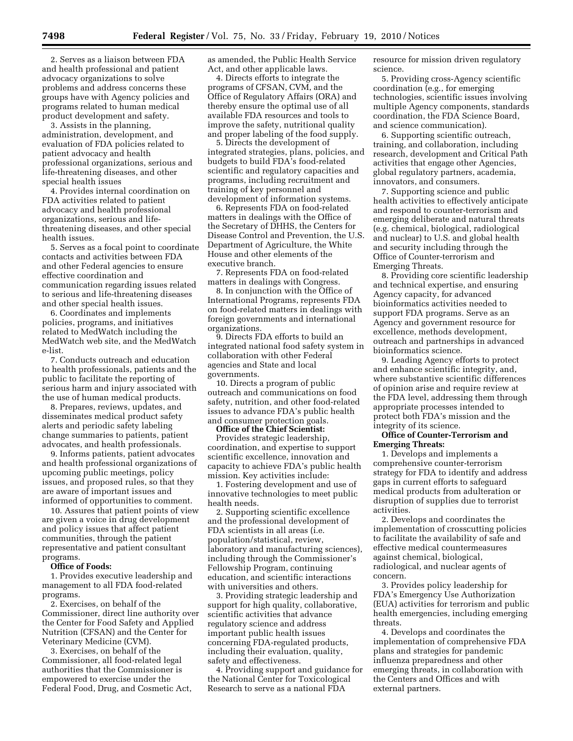2. Serves as a liaison between FDA and health professional and patient advocacy organizations to solve problems and address concerns these groups have with Agency policies and programs related to human medical product development and safety.

3. Assists in the planning, administration, development, and evaluation of FDA policies related to patient advocacy and health professional organizations, serious and life-threatening diseases, and other special health issues

4. Provides internal coordination on FDA activities related to patient advocacy and health professional organizations, serious and lifethreatening diseases, and other special health issues.

5. Serves as a focal point to coordinate contacts and activities between FDA and other Federal agencies to ensure effective coordination and communication regarding issues related to serious and life-threatening diseases and other special health issues.

6. Coordinates and implements policies, programs, and initiatives related to MedWatch including the MedWatch web site, and the MedWatch e-list.

7. Conducts outreach and education to health professionals, patients and the public to facilitate the reporting of serious harm and injury associated with the use of human medical products.

8. Prepares, reviews, updates, and disseminates medical product safety alerts and periodic safety labeling change summaries to patients, patient advocates, and health professionals.

9. Informs patients, patient advocates and health professional organizations of upcoming public meetings, policy issues, and proposed rules, so that they are aware of important issues and informed of opportunities to comment.

10. Assures that patient points of view are given a voice in drug development and policy issues that affect patient communities, through the patient representative and patient consultant programs.

#### **Office of Foods:**

1. Provides executive leadership and management to all FDA food-related programs.

2. Exercises, on behalf of the Commissioner, direct line authority over the Center for Food Safety and Applied Nutrition (CFSAN) and the Center for Veterinary Medicine (CVM).

3. Exercises, on behalf of the Commissioner, all food-related legal authorities that the Commissioner is empowered to exercise under the Federal Food, Drug, and Cosmetic Act, as amended, the Public Health Service Act, and other applicable laws.

4. Directs efforts to integrate the programs of CFSAN, CVM, and the Office of Regulatory Affairs (ORA) and thereby ensure the optimal use of all available FDA resources and tools to improve the safety, nutritional quality and proper labeling of the food supply.

5. Directs the development of integrated strategies, plans, policies, and budgets to build FDA's food-related scientific and regulatory capacities and programs, including recruitment and training of key personnel and development of information systems.

6. Represents FDA on food-related matters in dealings with the Office of the Secretary of DHHS, the Centers for Disease Control and Prevention, the U.S. Department of Agriculture, the White House and other elements of the executive branch.

7. Represents FDA on food-related matters in dealings with Congress.

8. In conjunction with the Office of International Programs, represents FDA on food-related matters in dealings with foreign governments and international organizations.

9. Directs FDA efforts to build an integrated national food safety system in collaboration with other Federal agencies and State and local governments.

10. Directs a program of public outreach and communications on food safety, nutrition, and other food-related issues to advance FDA's public health and consumer protection goals.

#### **Office of the Chief Scientist:**

Provides strategic leadership, coordination, and expertise to support scientific excellence, innovation and capacity to achieve FDA's public health mission. Key activities include:

1. Fostering development and use of innovative technologies to meet public health needs.

2. Supporting scientific excellence and the professional development of FDA scientists in all areas (i.e. population/statistical, review, laboratory and manufacturing sciences), including through the Commissioner's Fellowship Program, continuing education, and scientific interactions with universities and others.

3. Providing strategic leadership and support for high quality, collaborative, scientific activities that advance regulatory science and address important public health issues concerning FDA-regulated products, including their evaluation, quality, safety and effectiveness.

4. Providing support and guidance for the National Center for Toxicological Research to serve as a national FDA

resource for mission driven regulatory science.

5. Providing cross-Agency scientific coordination (e.g., for emerging technologies, scientific issues involving multiple Agency components, standards coordination, the FDA Science Board, and science communication).

6. Supporting scientific outreach, training, and collaboration, including research, development and Critical Path activities that engage other Agencies, global regulatory partners, academia, innovators, and consumers.

7. Supporting science and public health activities to effectively anticipate and respond to counter-terrorism and emerging deliberate and natural threats (e.g. chemical, biological, radiological and nuclear) to U.S. and global health and security including through the Office of Counter-terrorism and Emerging Threats.

8. Providing core scientific leadership and technical expertise, and ensuring Agency capacity, for advanced bioinformatics activities needed to support FDA programs. Serve as an Agency and government resource for excellence, methods development, outreach and partnerships in advanced bioinformatics science.

9. Leading Agency efforts to protect and enhance scientific integrity, and, where substantive scientific differences of opinion arise and require review at the FDA level, addressing them through appropriate processes intended to protect both FDA's mission and the integrity of its science.

## **Office of Counter-Terrorism and Emerging Threats:**

1. Develops and implements a comprehensive counter-terrorism strategy for FDA to identify and address gaps in current efforts to safeguard medical products from adulteration or disruption of supplies due to terrorist activities.

2. Develops and coordinates the implementation of crosscutting policies to facilitate the availability of safe and effective medical countermeasures against chemical, biological, radiological, and nuclear agents of concern.

3. Provides policy leadership for FDA's Emergency Use Authorization (EUA) activities for terrorism and public health emergencies, including emerging threats.

4. Develops and coordinates the implementation of comprehensive FDA plans and strategies for pandemic influenza preparedness and other emerging threats, in collaboration with the Centers and Offices and with external partners.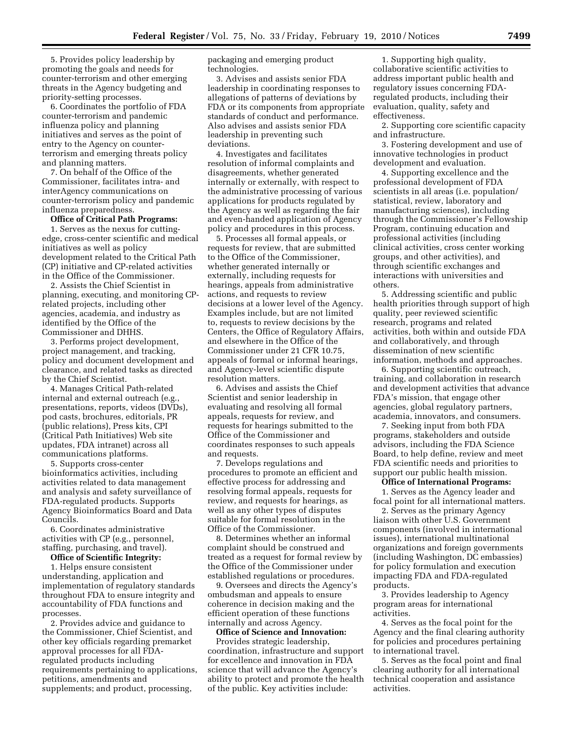5. Provides policy leadership by promoting the goals and needs for counter-terrorism and other emerging threats in the Agency budgeting and priority-setting processes.

6. Coordinates the portfolio of FDA counter-terrorism and pandemic influenza policy and planning initiatives and serves as the point of entry to the Agency on counterterrorism and emerging threats policy and planning matters.

7. On behalf of the Office of the Commissioner, facilitates intra- and interAgency communications on counter-terrorism policy and pandemic influenza preparedness.

#### **Office of Critical Path Programs:**

1. Serves as the nexus for cuttingedge, cross-center scientific and medical initiatives as well as policy development related to the Critical Path (CP) initiative and CP-related activities in the Office of the Commissioner.

2. Assists the Chief Scientist in planning, executing, and monitoring CPrelated projects, including other agencies, academia, and industry as identified by the Office of the Commissioner and DHHS.

3. Performs project development, project management, and tracking, policy and document development and clearance, and related tasks as directed by the Chief Scientist.

4. Manages Critical Path-related internal and external outreach (e.g., presentations, reports, videos (DVDs), pod casts, brochures, editorials, PR (public relations), Press kits, CPI (Critical Path Initiatives) Web site updates, FDA intranet) across all communications platforms.

5. Supports cross-center bioinformatics activities, including activities related to data management and analysis and safety surveillance of FDA-regulated products. Supports Agency Bioinformatics Board and Data Councils.

6. Coordinates administrative activities with CP (e.g., personnel, staffing, purchasing, and travel).

#### **Office of Scientific Integrity:**

1. Helps ensure consistent understanding, application and implementation of regulatory standards throughout FDA to ensure integrity and accountability of FDA functions and processes.

2. Provides advice and guidance to the Commissioner, Chief Scientist, and other key officials regarding premarket approval processes for all FDAregulated products including requirements pertaining to applications, petitions, amendments and supplements; and product, processing,

packaging and emerging product technologies.

3. Advises and assists senior FDA leadership in coordinating responses to allegations of patterns of deviations by FDA or its components from appropriate standards of conduct and performance. Also advises and assists senior FDA leadership in preventing such deviations.

4. Investigates and facilitates resolution of informal complaints and disagreements, whether generated internally or externally, with respect to the administrative processing of various applications for products regulated by the Agency as well as regarding the fair and even-handed application of Agency policy and procedures in this process.

5. Processes all formal appeals, or requests for review, that are submitted to the Office of the Commissioner, whether generated internally or externally, including requests for hearings, appeals from administrative actions, and requests to review decisions at a lower level of the Agency. Examples include, but are not limited to, requests to review decisions by the Centers, the Office of Regulatory Affairs, and elsewhere in the Office of the Commissioner under 21 CFR 10.75, appeals of formal or informal hearings, and Agency-level scientific dispute resolution matters.

6. Advises and assists the Chief Scientist and senior leadership in evaluating and resolving all formal appeals, requests for review, and requests for hearings submitted to the Office of the Commissioner and coordinates responses to such appeals and requests.

7. Develops regulations and procedures to promote an efficient and effective process for addressing and resolving formal appeals, requests for review, and requests for hearings, as well as any other types of disputes suitable for formal resolution in the Office of the Commissioner.

8. Determines whether an informal complaint should be construed and treated as a request for formal review by the Office of the Commissioner under established regulations or procedures.

9. Oversees and directs the Agency's ombudsman and appeals to ensure coherence in decision making and the efficient operation of these functions internally and across Agency.

**Office of Science and Innovation:**  Provides strategic leadership, coordination, infrastructure and support for excellence and innovation in FDA science that will advance the Agency's ability to protect and promote the health of the public. Key activities include:

1. Supporting high quality, collaborative scientific activities to address important public health and regulatory issues concerning FDAregulated products, including their evaluation, quality, safety and effectiveness.

2. Supporting core scientific capacity and infrastructure.

3. Fostering development and use of innovative technologies in product development and evaluation.

4. Supporting excellence and the professional development of FDA scientists in all areas (i.e. population/ statistical, review, laboratory and manufacturing sciences), including through the Commissioner's Fellowship Program, continuing education and professional activities (including clinical activities, cross center working groups, and other activities), and through scientific exchanges and interactions with universities and others.

5. Addressing scientific and public health priorities through support of high quality, peer reviewed scientific research, programs and related activities, both within and outside FDA and collaboratively, and through dissemination of new scientific information, methods and approaches.

6. Supporting scientific outreach, training, and collaboration in research and development activities that advance FDA's mission, that engage other agencies, global regulatory partners, academia, innovators, and consumers.

7. Seeking input from both FDA programs, stakeholders and outside advisors, including the FDA Science Board, to help define, review and meet FDA scientific needs and priorities to support our public health mission.

## **Office of International Programs:**  1. Serves as the Agency leader and

focal point for all international matters.

2. Serves as the primary Agency liaison with other U.S. Government components (involved in international issues), international multinational organizations and foreign governments (including Washington, DC embassies) for policy formulation and execution impacting FDA and FDA-regulated products.

3. Provides leadership to Agency program areas for international activities.

4. Serves as the focal point for the Agency and the final clearing authority for policies and procedures pertaining to international travel.

5. Serves as the focal point and final clearing authority for all international technical cooperation and assistance activities.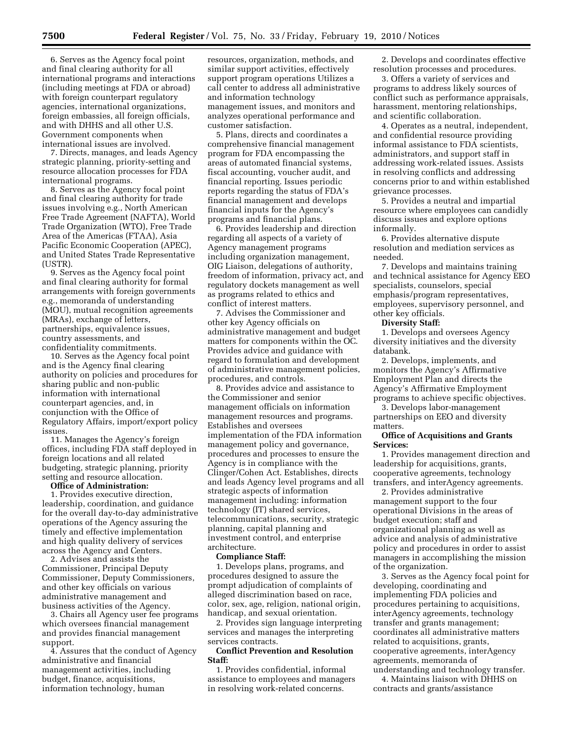6. Serves as the Agency focal point and final clearing authority for all international programs and interactions (including meetings at FDA or abroad) with foreign counterpart regulatory agencies, international organizations, foreign embassies, all foreign officials, and with DHHS and all other U.S. Government components when international issues are involved.

7. Directs, manages, and leads Agency strategic planning, priority-setting and resource allocation processes for FDA international programs.

8. Serves as the Agency focal point and final clearing authority for trade issues involving e.g., North American Free Trade Agreement (NAFTA), World Trade Organization (WTO), Free Trade Area of the Americas (FTAA), Asia Pacific Economic Cooperation (APEC), and United States Trade Representative (USTR).

9. Serves as the Agency focal point and final clearing authority for formal arrangements with foreign governments e.g., memoranda of understanding (MOU), mutual recognition agreements (MRAs), exchange of letters, partnerships, equivalence issues, country assessments, and confidentiality commitments.

10. Serves as the Agency focal point and is the Agency final clearing authority on policies and procedures for sharing public and non-public information with international counterpart agencies, and, in conjunction with the Office of Regulatory Affairs, import/export policy issues.

11. Manages the Agency's foreign offices, including FDA staff deployed in foreign locations and all related budgeting, strategic planning, priority setting and resource allocation.

#### **Office of Administration:**

1. Provides executive direction, leadership, coordination, and guidance for the overall day-to-day administrative operations of the Agency assuring the timely and effective implementation and high quality delivery of services across the Agency and Centers.

2. Advises and assists the Commissioner, Principal Deputy Commissioner, Deputy Commissioners, and other key officials on various administrative management and business activities of the Agency.

3. Chairs all Agency user fee programs which oversees financial management and provides financial management support.

4. Assures that the conduct of Agency administrative and financial management activities, including budget, finance, acquisitions, information technology, human

resources, organization, methods, and similar support activities, effectively support program operations Utilizes a call center to address all administrative and information technology management issues, and monitors and analyzes operational performance and customer satisfaction.

5. Plans, directs and coordinates a comprehensive financial management program for FDA encompassing the areas of automated financial systems, fiscal accounting, voucher audit, and financial reporting. Issues periodic reports regarding the status of FDA's financial management and develops financial inputs for the Agency's programs and financial plans.

6. Provides leadership and direction regarding all aspects of a variety of Agency management programs including organization management, OIG Liaison, delegations of authority, freedom of information, privacy act, and regulatory dockets management as well as programs related to ethics and conflict of interest matters.

7. Advises the Commissioner and other key Agency officials on administrative management and budget matters for components within the OC. Provides advice and guidance with regard to formulation and development of administrative management policies, procedures, and controls.

8. Provides advice and assistance to the Commissioner and senior management officials on information management resources and programs. Establishes and oversees implementation of the FDA information management policy and governance, procedures and processes to ensure the Agency is in compliance with the Clinger/Cohen Act. Establishes, directs and leads Agency level programs and all strategic aspects of information management including: information technology (IT) shared services, telecommunications, security, strategic planning, capital planning and investment control, and enterprise architecture.

#### **Compliance Staff:**

1. Develops plans, programs, and procedures designed to assure the prompt adjudication of complaints of alleged discrimination based on race, color, sex, age, religion, national origin, handicap, and sexual orientation.

2. Provides sign language interpreting services and manages the interpreting services contracts.

## **Conflict Prevention and Resolution Staff:**

1. Provides confidential, informal assistance to employees and managers in resolving work-related concerns.

2. Develops and coordinates effective resolution processes and procedures.

3. Offers a variety of services and programs to address likely sources of conflict such as performance appraisals, harassment, mentoring relationships, and scientific collaboration.

4. Operates as a neutral, independent, and confidential resource providing informal assistance to FDA scientists, administrators, and support staff in addressing work-related issues. Assists in resolving conflicts and addressing concerns prior to and within established grievance processes.

5. Provides a neutral and impartial resource where employees can candidly discuss issues and explore options informally.

6. Provides alternative dispute resolution and mediation services as needed.

7. Develops and maintains training and technical assistance for Agency EEO specialists, counselors, special emphasis/program representatives, employees, supervisory personnel, and other key officials.

#### **Diversity Staff:**

1. Develops and oversees Agency diversity initiatives and the diversity databank.

2. Develops, implements, and monitors the Agency's Affirmative Employment Plan and directs the Agency's Affirmative Employment programs to achieve specific objectives.

3. Develops labor-management partnerships on EEO and diversity matters.

## **Office of Acquisitions and Grants Services:**

1. Provides management direction and leadership for acquisitions, grants, cooperative agreements, technology transfers, and interAgency agreements.

2. Provides administrative management support to the four operational Divisions in the areas of budget execution; staff and organizational planning as well as advice and analysis of administrative policy and procedures in order to assist managers in accomplishing the mission of the organization.

3. Serves as the Agency focal point for developing, coordinating and implementing FDA policies and procedures pertaining to acquisitions, interAgency agreements, technology transfer and grants management; coordinates all administrative matters related to acquisitions, grants, cooperative agreements, interAgency agreements, memoranda of understanding and technology transfer.

4. Maintains liaison with DHHS on contracts and grants/assistance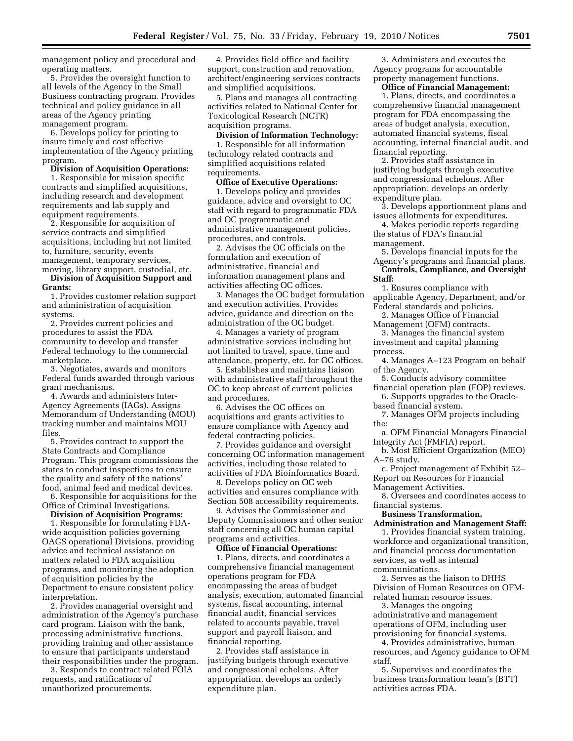management policy and procedural and operating matters.

5. Provides the oversight function to all levels of the Agency in the Small Business contracting program. Provides technical and policy guidance in all areas of the Agency printing management program.

6. Develops policy for printing to insure timely and cost effective implementation of the Agency printing program.

**Division of Acquisition Operations:** 

1. Responsible for mission specific contracts and simplified acquisitions, including research and development requirements and lab supply and equipment requirements.

2. Responsible for acquisition of service contracts and simplified acquisitions, including but not limited to, furniture, security, events management, temporary services, moving, library support, custodial, etc.

**Division of Acquisition Support and Grants:** 

1. Provides customer relation support and administration of acquisition systems.

2. Provides current policies and procedures to assist the FDA community to develop and transfer Federal technology to the commercial marketplace.

3. Negotiates, awards and monitors Federal funds awarded through various grant mechanisms.

4. Awards and administers Inter-Agency Agreements (IAGs). Assigns Memorandum of Understanding (MOU) tracking number and maintains MOU files.

5. Provides contract to support the State Contracts and Compliance Program. This program commissions the states to conduct inspections to ensure the quality and safety of the nations' food, animal feed and medical devices. 6. Responsible for acquisitions for the

Office of Criminal Investigations.

#### **Division of Acquisition Programs:**

1. Responsible for formulating FDAwide acquisition policies governing OAGS operational Divisions, providing advice and technical assistance on matters related to FDA acquisition programs, and monitoring the adoption of acquisition policies by the Department to ensure consistent policy interpretation.

2. Provides managerial oversight and administration of the Agency's purchase card program. Liaison with the bank, processing administrative functions, providing training and other assistance to ensure that participants understand their responsibilities under the program.

3. Responds to contract related FOIA requests, and ratifications of unauthorized procurements.

4. Provides field office and facility support, construction and renovation, architect/engineering services contracts and simplified acquisitions.

5. Plans and manages all contracting activities related to National Center for Toxicological Research (NCTR) acquisition programs.

#### **Division of Information Technology:**  1. Responsible for all information

technology related contracts and simplified acquisitions related requirements.

**Office of Executive Operations:** 

1. Develops policy and provides guidance, advice and oversight to OC staff with regard to programmatic FDA and OC programmatic and administrative management policies, procedures, and controls.

2. Advises the OC officials on the formulation and execution of administrative, financial and information management plans and activities affecting OC offices.

3. Manages the OC budget formulation and execution activities. Provides advice, guidance and direction on the administration of the OC budget.

4. Manages a variety of program administrative services including but not limited to travel, space, time and attendance, property, etc. for OC offices.

5. Establishes and maintains liaison with administrative staff throughout the OC to keep abreast of current policies and procedures.

6. Advises the OC offices on acquisitions and grants activities to ensure compliance with Agency and federal contracting policies.

7. Provides guidance and oversight concerning OC information management activities, including those related to activities of FDA Bioinformatics Board.

8. Develops policy on OC web activities and ensures compliance with Section 508 accessibility requirements.

9. Advises the Commissioner and Deputy Commissioners and other senior staff concerning all OC human capital programs and activities.

**Office of Financial Operations:** 

1. Plans, directs, and coordinates a comprehensive financial management operations program for FDA encompassing the areas of budget analysis, execution, automated financial systems, fiscal accounting, internal financial audit, financial services related to accounts payable, travel support and payroll liaison, and financial reporting.

2. Provides staff assistance in justifying budgets through executive and congressional echelons. After appropriation, develops an orderly expenditure plan.

3. Administers and executes the Agency programs for accountable property management functions.

**Office of Financial Management:** 

1. Plans, directs, and coordinates a comprehensive financial management program for FDA encompassing the areas of budget analysis, execution, automated financial systems, fiscal accounting, internal financial audit, and financial reporting.

2. Provides staff assistance in justifying budgets through executive and congressional echelons. After appropriation, develops an orderly expenditure plan.

3. Develops apportionment plans and issues allotments for expenditures.

4. Makes periodic reports regarding the status of FDA's financial management.

5. Develops financial inputs for the Agency's programs and financial plans.

**Controls, Compliance, and Oversight Staff:** 

1. Ensures compliance with applicable Agency, Department, and/or Federal standards and policies.

2. Manages Office of Financial Management (OFM) contracts.

- 3. Manages the financial system investment and capital planning process.
- 4. Manages A–123 Program on behalf of the Agency.

5. Conducts advisory committee financial operation plan (FOP) reviews.

6. Supports upgrades to the Oraclebased financial system.

7. Manages OFM projects including the:

a. OFM Financial Managers Financial Integrity Act (FMFIA) report.

b. Most Efficient Organization (MEO) A–76 study.

c. Project management of Exhibit 52– Report on Resources for Financial Management Activities.

8. Oversees and coordinates access to financial systems.

## **Business Transformation,**

**Administration and Management Staff:**  1. Provides financial system training, workforce and organizational transition, and financial process documentation services, as well as internal

communications.

2. Serves as the liaison to DHHS Division of Human Resources on OFMrelated human resource issues.

3. Manages the ongoing administrative and management operations of OFM, including user provisioning for financial systems.

4. Provides administrative, human resources, and Agency guidance to OFM staff.

5. Supervises and coordinates the business transformation team's (BTT) activities across FDA.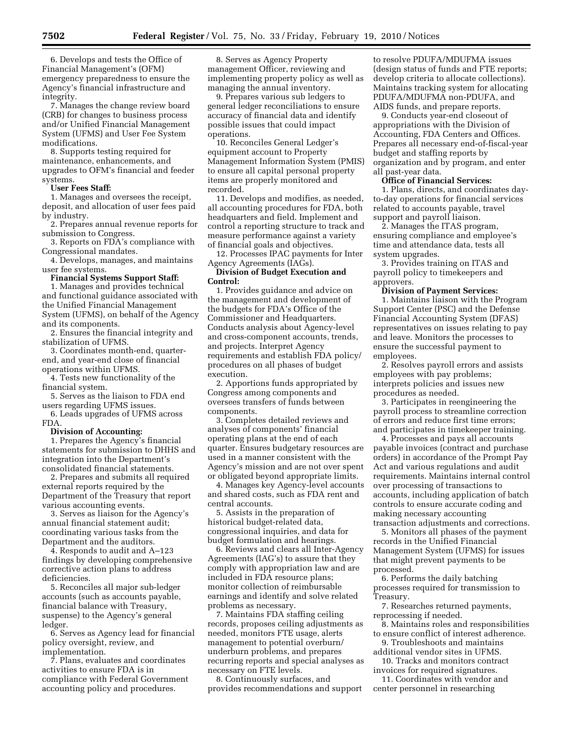6. Develops and tests the Office of Financial Management's (OFM) emergency preparedness to ensure the Agency's financial infrastructure and integrity.

7. Manages the change review board (CRB) for changes to business process and/or Unified Financial Management System (UFMS) and User Fee System modifications.

8. Supports testing required for maintenance, enhancements, and upgrades to OFM's financial and feeder systems.

## **User Fees Staff:**

1. Manages and oversees the receipt, deposit, and allocation of user fees paid by industry.

2. Prepares annual revenue reports for submission to Congress.

3. Reports on FDA's compliance with Congressional mandates.

4. Develops, manages, and maintains user fee systems.

#### **Financial Systems Support Staff:**

1. Manages and provides technical and functional guidance associated with the Unified Financial Management System (UFMS), on behalf of the Agency and its components.

2. Ensures the financial integrity and stabilization of UFMS.

3. Coordinates month-end, quarterend, and year-end close of financial operations within UFMS.

4. Tests new functionality of the financial system.

5. Serves as the liaison to FDA end users regarding UFMS issues.

6. Leads upgrades of UFMS across FDA.

#### **Division of Accounting:**

1. Prepares the Agency's financial statements for submission to DHHS and integration into the Department's consolidated financial statements.

2. Prepares and submits all required external reports required by the Department of the Treasury that report various accounting events.

3. Serves as liaison for the Agency's annual financial statement audit; coordinating various tasks from the Department and the auditors.

4. Responds to audit and A–123 findings by developing comprehensive corrective action plans to address deficiencies.

5. Reconciles all major sub-ledger accounts (such as accounts payable, financial balance with Treasury, suspense) to the Agency's general ledger.

6. Serves as Agency lead for financial policy oversight, review, and implementation.

7. Plans, evaluates and coordinates activities to ensure FDA is in compliance with Federal Government accounting policy and procedures.

8. Serves as Agency Property management Officer, reviewing and implementing property policy as well as managing the annual inventory.

9. Prepares various sub ledgers to general ledger reconciliations to ensure accuracy of financial data and identify possible issues that could impact operations.

10. Reconciles General Ledger's equipment account to Property Management Information System (PMIS) to ensure all capital personal property items are properly monitored and recorded.

11. Develops and modifies, as needed, all accounting procedures for FDA, both headquarters and field. Implement and control a reporting structure to track and measure performance against a variety of financial goals and objectives.

12. Processes IPAC payments for Inter Agency Agreements (IAGs).

**Division of Budget Execution and Control:** 

1. Provides guidance and advice on the management and development of the budgets for FDA's Office of the Commissioner and Headquarters. Conducts analysis about Agency-level and cross-component accounts, trends, and projects. Interpret Agency requirements and establish FDA policy/ procedures on all phases of budget execution.

2. Apportions funds appropriated by Congress among components and oversees transfers of funds between components.

3. Completes detailed reviews and analyses of components' financial operating plans at the end of each quarter. Ensures budgetary resources are used in a manner consistent with the Agency's mission and are not over spent or obligated beyond appropriate limits.

4. Manages key Agency-level accounts and shared costs, such as FDA rent and central accounts.

5. Assists in the preparation of historical budget-related data, congressional inquiries, and data for budget formulation and hearings.

6. Reviews and clears all Inter-Agency Agreements (IAG's) to assure that they comply with appropriation law and are included in FDA resource plans; monitor collection of reimbursable earnings and identify and solve related problems as necessary.

7. Maintains FDA staffing ceiling records, proposes ceiling adjustments as needed, monitors FTE usage, alerts management to potential overburn/ underburn problems, and prepares recurring reports and special analyses as necessary on FTE levels.

8. Continuously surfaces, and provides recommendations and support

to resolve PDUFA/MDUFMA issues (design status of funds and FTE reports; develop criteria to allocate collections). Maintains tracking system for allocating PDUFA/MDUFMA non-PDUFA, and AIDS funds, and prepare reports.

9. Conducts year-end closeout of appropriations with the Division of Accounting, FDA Centers and Offices. Prepares all necessary end-of-fiscal-year budget and staffing reports by organization and by program, and enter all past-year data.

## **Office of Financial Services:**

1. Plans, directs, and coordinates dayto-day operations for financial services related to accounts payable, travel support and payroll liaison.

2. Manages the ITAS program, ensuring compliance and employee's time and attendance data, tests all system upgrades.

3. Provides training on ITAS and payroll policy to timekeepers and approvers.

#### **Division of Payment Services:**

1. Maintains liaison with the Program Support Center (PSC) and the Defense Financial Accounting System (DFAS) representatives on issues relating to pay and leave. Monitors the processes to ensure the successful payment to employees.

2. Resolves payroll errors and assists employees with pay problems; interprets policies and issues new procedures as needed.

3. Participates in reengineering the payroll process to streamline correction of errors and reduce first time errors; and participates in timekeeper training.

4. Processes and pays all accounts payable invoices (contract and purchase orders) in accordance of the Prompt Pay Act and various regulations and audit requirements. Maintains internal control over processing of transactions to accounts, including application of batch controls to ensure accurate coding and making necessary accounting transaction adjustments and corrections.

5. Monitors all phases of the payment records in the Unified Financial Management System (UFMS) for issues that might prevent payments to be processed.

6. Performs the daily batching processes required for transmission to Treasury.

7. Researches returned payments, reprocessing if needed.

- 8. Maintains roles and responsibilities to ensure conflict of interest adherence.
- 9. Troubleshoots and maintains additional vendor sites in UFMS.

10. Tracks and monitors contract invoices for required signatures.

11. Coordinates with vendor and center personnel in researching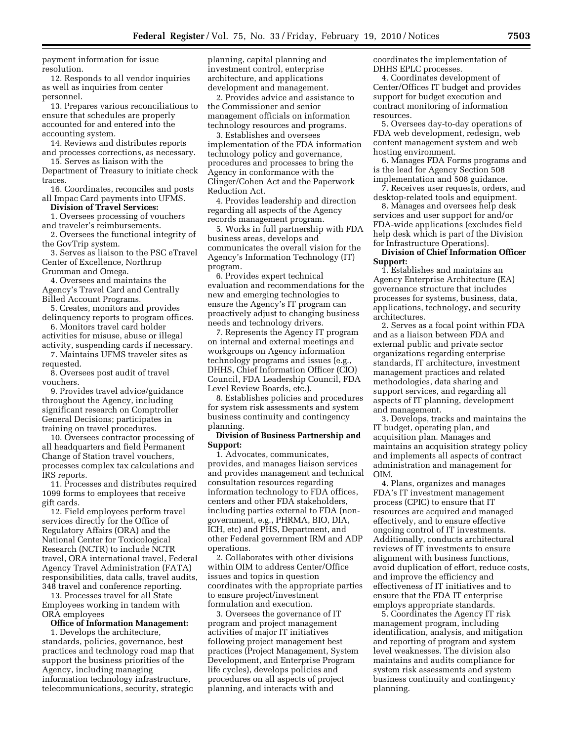payment information for issue resolution.

12. Responds to all vendor inquiries as well as inquiries from center personnel.

13. Prepares various reconciliations to ensure that schedules are properly accounted for and entered into the accounting system.

14. Reviews and distributes reports and processes corrections, as necessary.

15. Serves as liaison with the Department of Treasury to initiate check traces

16. Coordinates, reconciles and posts all Impac Card payments into UFMS.

## **Division of Travel Services:**

1. Oversees processing of vouchers

and traveler's reimbursements. 2. Oversees the functional integrity of

the GovTrip system. 3. Serves as liaison to the PSC eTravel Center of Excellence, Northrup

Grumman and Omega.

4. Oversees and maintains the Agency's Travel Card and Centrally Billed Account Programs.

5. Creates, monitors and provides delinquency reports to program offices.

6. Monitors travel card holder activities for misuse, abuse or illegal

activity, suspending cards if necessary. 7. Maintains UFMS traveler sites as requested.

8. Oversees post audit of travel vouchers.

9. Provides travel advice/guidance throughout the Agency, including significant research on Comptroller General Decisions; participates in training on travel procedures.

10. Oversees contractor processing of all headquarters and field Permanent Change of Station travel vouchers, processes complex tax calculations and IRS reports.

11. Processes and distributes required 1099 forms to employees that receive gift cards.

12. Field employees perform travel services directly for the Office of Regulatory Affairs (ORA) and the National Center for Toxicological Research (NCTR) to include NCTR travel, ORA international travel, Federal Agency Travel Administration (FATA) responsibilities, data calls, travel audits, 348 travel and conference reporting.

13. Processes travel for all State Employees working in tandem with ORA employees

#### **Office of Information Management:**

1. Develops the architecture, standards, policies, governance, best practices and technology road map that support the business priorities of the Agency, including managing information technology infrastructure, telecommunications, security, strategic

planning, capital planning and investment control, enterprise architecture, and applications development and management.

2. Provides advice and assistance to the Commissioner and senior management officials on information technology resources and programs.

3. Establishes and oversees implementation of the FDA information technology policy and governance, procedures and processes to bring the Agency in conformance with the Clinger/Cohen Act and the Paperwork Reduction Act.

4. Provides leadership and direction regarding all aspects of the Agency records management program.

5. Works in full partnership with FDA business areas, develops and communicates the overall vision for the Agency's Information Technology (IT) program.

6. Provides expert technical evaluation and recommendations for the new and emerging technologies to ensure the Agency's IT program can proactively adjust to changing business needs and technology drivers.

7. Represents the Agency IT program on internal and external meetings and workgroups on Agency information technology programs and issues (e.g. DHHS, Chief Information Officer (CIO) Council, FDA Leadership Council, FDA Level Review Boards, etc.).

8. Establishes policies and procedures for system risk assessments and system business continuity and contingency planning.

#### **Division of Business Partnership and Support:**

1. Advocates, communicates, provides, and manages liaison services and provides management and technical consultation resources regarding information technology to FDA offices, centers and other FDA stakeholders, including parties external to FDA (nongovernment, e.g., PHRMA, BIO, DIA, ICH, etc) and PHS, Department, and other Federal government IRM and ADP operations.

2. Collaborates with other divisions within OIM to address Center/Office issues and topics in question coordinates with the appropriate parties to ensure project/investment formulation and execution.

3. Oversees the governance of IT program and project management activities of major IT initiatives following project management best practices (Project Management, System Development, and Enterprise Program life cycles), develops policies and procedures on all aspects of project planning, and interacts with and

coordinates the implementation of DHHS EPLC processes.

4. Coordinates development of Center/Offices IT budget and provides support for budget execution and contract monitoring of information resources.

5. Oversees day-to-day operations of FDA web development, redesign, web content management system and web hosting environment.

6. Manages FDA Forms programs and is the lead for Agency Section 508 implementation and 508 guidance.

7. Receives user requests, orders, and desktop-related tools and equipment.

8. Manages and oversees help desk services and user support for and/or FDA-wide applications (excludes field help desk which is part of the Division for Infrastructure Operations).

## **Division of Chief Information Officer Support:**

1. Establishes and maintains an Agency Enterprise Architecture (EA) governance structure that includes processes for systems, business, data, applications, technology, and security architectures.

2. Serves as a focal point within FDA and as a liaison between FDA and external public and private sector organizations regarding enterprise standards, IT architecture, investment management practices and related methodologies, data sharing and support services, and regarding all aspects of IT planning, development and management.

3. Develops, tracks and maintains the IT budget, operating plan, and acquisition plan. Manages and maintains an acquisition strategy policy and implements all aspects of contract administration and management for OIM.

4. Plans, organizes and manages FDA's IT investment management process (CPIC) to ensure that IT resources are acquired and managed effectively, and to ensure effective ongoing control of IT investments. Additionally, conducts architectural reviews of IT investments to ensure alignment with business functions, avoid duplication of effort, reduce costs, and improve the efficiency and effectiveness of IT initiatives and to ensure that the FDA IT enterprise employs appropriate standards.

5. Coordinates the Agency IT risk management program, including identification, analysis, and mitigation and reporting of program and system level weaknesses. The division also maintains and audits compliance for system risk assessments and system business continuity and contingency planning.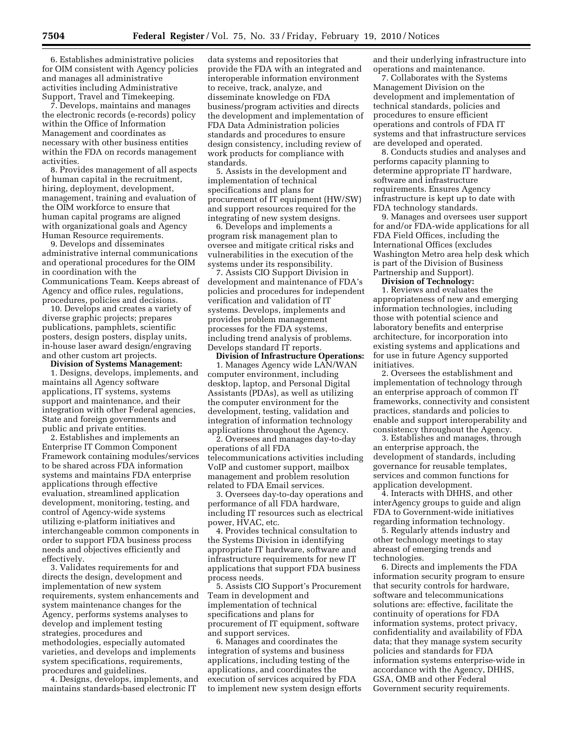6. Establishes administrative policies for OIM consistent with Agency policies and manages all administrative activities including Administrative Support, Travel and Timekeeping.

7. Develops, maintains and manages the electronic records (e-records) policy within the Office of Information Management and coordinates as necessary with other business entities within the FDA on records management activities.

8. Provides management of all aspects of human capital in the recruitment, hiring, deployment, development, management, training and evaluation of the OIM workforce to ensure that human capital programs are aligned with organizational goals and Agency Human Resource requirements.

9. Develops and disseminates administrative internal communications and operational procedures for the OIM in coordination with the Communications Team. Keeps abreast of Agency and office rules, regulations, procedures, policies and decisions.

10. Develops and creates a variety of diverse graphic projects; prepares publications, pamphlets, scientific posters, design posters, display units, in-house laser award design/engraving and other custom art projects.

**Division of Systems Management:**  1. Designs, develops, implements, and maintains all Agency software applications, IT systems, systems support and maintenance, and their integration with other Federal agencies,

State and foreign governments and

public and private entities. 2. Establishes and implements an Enterprise IT Common Component Framework containing modules/services to be shared across FDA information systems and maintains FDA enterprise applications through effective evaluation, streamlined application development, monitoring, testing, and control of Agency-wide systems utilizing e-platform initiatives and interchangeable common components in order to support FDA business process needs and objectives efficiently and effectively.

3. Validates requirements for and directs the design, development and implementation of new system requirements, system enhancements and system maintenance changes for the Agency, performs systems analyses to develop and implement testing strategies, procedures and methodologies, especially automated varieties, and develops and implements system specifications, requirements, procedures and guidelines.

4. Designs, develops, implements, and maintains standards-based electronic IT

data systems and repositories that provide the FDA with an integrated and interoperable information environment to receive, track, analyze, and disseminate knowledge on FDA business/program activities and directs the development and implementation of FDA Data Administration policies standards and procedures to ensure design consistency, including review of work products for compliance with standards.

5. Assists in the development and implementation of technical specifications and plans for procurement of IT equipment (HW/SW) and support resources required for the integrating of new system designs.

6. Develops and implements a program risk management plan to oversee and mitigate critical risks and vulnerabilities in the execution of the systems under its responsibility.

7. Assists CIO Support Division in development and maintenance of FDA's policies and procedures for independent verification and validation of IT systems. Develops, implements and provides problem management processes for the FDA systems, including trend analysis of problems. Develops standard IT reports.

**Division of Infrastructure Operations:**  1. Manages Agency wide LAN/WAN computer environment, including desktop, laptop, and Personal Digital Assistants (PDAs), as well as utilizing the computer environment for the development, testing, validation and integration of information technology applications throughout the Agency.

2. Oversees and manages day-to-day operations of all FDA telecommunications activities including VoIP and customer support, mailbox management and problem resolution related to FDA Email services.

3. Oversees day-to-day operations and performance of all FDA hardware, including IT resources such as electrical power, HVAC, etc.

4. Provides technical consultation to the Systems Division in identifying appropriate IT hardware, software and infrastructure requirements for new IT applications that support FDA business process needs.

5. Assists CIO Support's Procurement Team in development and implementation of technical specifications and plans for procurement of IT equipment, software and support services.

6. Manages and coordinates the integration of systems and business applications, including testing of the applications, and coordinates the execution of services acquired by FDA to implement new system design efforts and their underlying infrastructure into operations and maintenance.

7. Collaborates with the Systems Management Division on the development and implementation of technical standards, policies and procedures to ensure efficient operations and controls of FDA IT systems and that infrastructure services are developed and operated.

8. Conducts studies and analyses and performs capacity planning to determine appropriate IT hardware, software and infrastructure requirements. Ensures Agency infrastructure is kept up to date with FDA technology standards.

9. Manages and oversees user support for and/or FDA-wide applications for all FDA Field Offices, including the International Offices (excludes Washington Metro area help desk which is part of the Division of Business Partnership and Support).

**Division of Technology:** 

1. Reviews and evaluates the appropriateness of new and emerging information technologies, including those with potential science and laboratory benefits and enterprise architecture, for incorporation into existing systems and applications and for use in future Agency supported initiatives.

2. Oversees the establishment and implementation of technology through an enterprise approach of common IT frameworks, connectivity and consistent practices, standards and policies to enable and support interoperability and consistency throughout the Agency.

3. Establishes and manages, through an enterprise approach, the development of standards, including governance for reusable templates, services and common functions for application development.

4. Interacts with DHHS, and other interAgency groups to guide and align FDA to Government-wide initiatives regarding information technology.

5. Regularly attends industry and other technology meetings to stay abreast of emerging trends and technologies.

6. Directs and implements the FDA information security program to ensure that security controls for hardware, software and telecommunications solutions are: effective, facilitate the continuity of operations for FDA information systems, protect privacy, confidentiality and availability of FDA data; that they manage system security policies and standards for FDA information systems enterprise-wide in accordance with the Agency, DHHS, GSA, OMB and other Federal Government security requirements.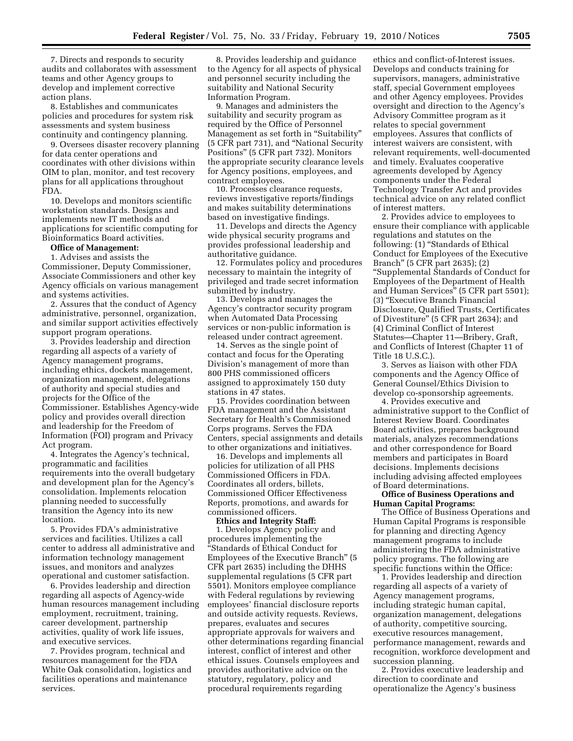7. Directs and responds to security audits and collaborates with assessment teams and other Agency groups to develop and implement corrective action plans.

8. Establishes and communicates policies and procedures for system risk assessments and system business continuity and contingency planning.

9. Oversees disaster recovery planning for data center operations and coordinates with other divisions within OIM to plan, monitor, and test recovery plans for all applications throughout FDA.

10. Develops and monitors scientific workstation standards. Designs and implements new IT methods and applications for scientific computing for Bioinformatics Board activities.

#### **Office of Management:**

1. Advises and assists the Commissioner, Deputy Commissioner, Associate Commissioners and other key Agency officials on various management and systems activities.

2. Assures that the conduct of Agency administrative, personnel, organization, and similar support activities effectively support program operations.

3. Provides leadership and direction regarding all aspects of a variety of Agency management programs, including ethics, dockets management, organization management, delegations of authority and special studies and projects for the Office of the Commissioner. Establishes Agency-wide policy and provides overall direction and leadership for the Freedom of Information (FOI) program and Privacy Act program.

4. Integrates the Agency's technical, programmatic and facilities requirements into the overall budgetary and development plan for the Agency's consolidation. Implements relocation planning needed to successfully transition the Agency into its new location.

5. Provides FDA's administrative services and facilities. Utilizes a call center to address all administrative and information technology management issues, and monitors and analyzes operational and customer satisfaction.

6. Provides leadership and direction regarding all aspects of Agency-wide human resources management including employment, recruitment, training, career development, partnership activities, quality of work life issues, and executive services.

7. Provides program, technical and resources management for the FDA White Oak consolidation, logistics and facilities operations and maintenance services.

8. Provides leadership and guidance to the Agency for all aspects of physical and personnel security including the suitability and National Security Information Program.

9. Manages and administers the suitability and security program as required by the Office of Personnel Management as set forth in "Suitability" (5 CFR part 731), and ''National Security Positions'' (5 CFR part 732). Monitors the appropriate security clearance levels for Agency positions, employees, and contract employees.

10. Processes clearance requests, reviews investigative reports/findings and makes suitability determinations based on investigative findings.

11. Develops and directs the Agency wide physical security programs and provides professional leadership and authoritative guidance.

12. Formulates policy and procedures necessary to maintain the integrity of privileged and trade secret information submitted by industry.

13. Develops and manages the Agency's contractor security program when Automated Data Processing services or non-public information is released under contract agreement.

14. Serves as the single point of contact and focus for the Operating Division's management of more than 800 PHS commissioned officers assigned to approximately 150 duty stations in 47 states.

15. Provides coordination between FDA management and the Assistant Secretary for Health's Commissioned Corps programs. Serves the FDA Centers, special assignments and details to other organizations and initiatives.

16. Develops and implements all policies for utilization of all PHS Commissioned Officers in FDA. Coordinates all orders, billets, Commissioned Officer Effectiveness Reports, promotions, and awards for commissioned officers.

#### **Ethics and Integrity Staff:**

1. Develops Agency policy and procedures implementing the ''Standards of Ethical Conduct for Employees of the Executive Branch'' (5 CFR part 2635) including the DHHS supplemental regulations (5 CFR part 5501). Monitors employee compliance with Federal regulations by reviewing employees' financial disclosure reports and outside activity requests. Reviews, prepares, evaluates and secures appropriate approvals for waivers and other determinations regarding financial interest, conflict of interest and other ethical issues. Counsels employees and provides authoritative advice on the statutory, regulatory, policy and procedural requirements regarding

ethics and conflict-of-Interest issues. Develops and conducts training for supervisors, managers, administrative staff, special Government employees and other Agency employees. Provides oversight and direction to the Agency's Advisory Committee program as it relates to special government employees. Assures that conflicts of interest waivers are consistent, with relevant requirements, well-documented and timely. Evaluates cooperative agreements developed by Agency components under the Federal Technology Transfer Act and provides technical advice on any related conflict of interest matters.

2. Provides advice to employees to ensure their compliance with applicable regulations and statutes on the following: (1) "Standards of Ethical Conduct for Employees of the Executive Branch'' (5 CFR part 2635); (2) ''Supplemental Standards of Conduct for Employees of the Department of Health and Human Services'' (5 CFR part 5501); (3) ''Executive Branch Financial Disclosure, Qualified Trusts, Certificates of Divestiture'' (5 CFR part 2634); and (4) Criminal Conflict of Interest Statutes—Chapter 11—Bribery, Graft, and Conflicts of Interest (Chapter 11 of Title 18 U.S.C.).

3. Serves as liaison with other FDA components and the Agency Office of General Counsel/Ethics Division to develop co-sponsorship agreements.

4. Provides executive and administrative support to the Conflict of Interest Review Board. Coordinates Board activities, prepares background materials, analyzes recommendations and other correspondence for Board members and participates in Board decisions. Implements decisions including advising affected employees of Board determinations.

#### **Office of Business Operations and Human Capital Programs:**

The Office of Business Operations and Human Capital Programs is responsible for planning and directing Agency management programs to include administering the FDA administrative policy programs. The following are specific functions within the Office:

1. Provides leadership and direction regarding all aspects of a variety of Agency management programs, including strategic human capital, organization management, delegations of authority, competitive sourcing, executive resources management, performance management, rewards and recognition, workforce development and succession planning.

2. Provides executive leadership and direction to coordinate and operationalize the Agency's business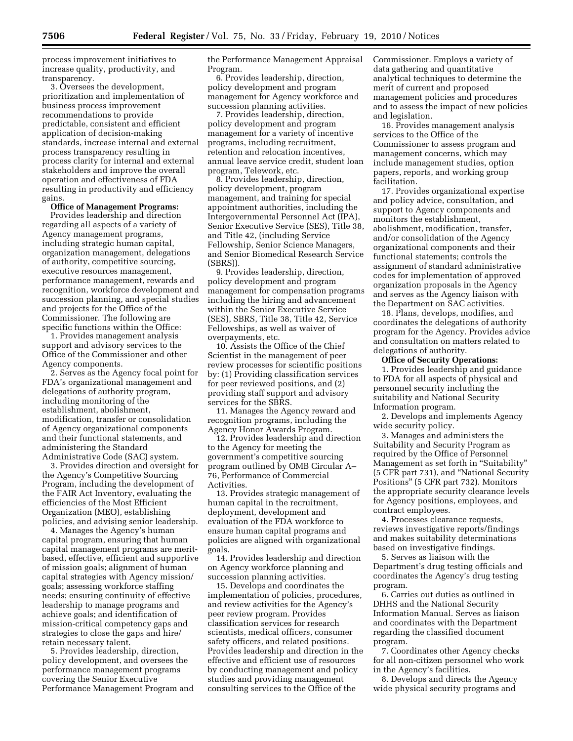process improvement initiatives to increase quality, productivity, and transparency.

3. Oversees the development, prioritization and implementation of business process improvement recommendations to provide predictable, consistent and efficient application of decision-making standards, increase internal and external process transparency resulting in process clarity for internal and external stakeholders and improve the overall operation and effectiveness of FDA resulting in productivity and efficiency gains.

#### **Office of Management Programs:**

Provides leadership and direction regarding all aspects of a variety of Agency management programs, including strategic human capital, organization management, delegations of authority, competitive sourcing, executive resources management, performance management, rewards and recognition, workforce development and succession planning, and special studies and projects for the Office of the Commissioner. The following are specific functions within the Office:

1. Provides management analysis support and advisory services to the Office of the Commissioner and other Agency components.

2. Serves as the Agency focal point for FDA's organizational management and delegations of authority program, including monitoring of the establishment, abolishment, modification, transfer or consolidation of Agency organizational components and their functional statements, and administering the Standard Administrative Code (SAC) system.

3. Provides direction and oversight for the Agency's Competitive Sourcing Program, including the development of the FAIR Act Inventory, evaluating the efficiencies of the Most Efficient Organization (MEO), establishing policies, and advising senior leadership.

4. Manages the Agency's human capital program, ensuring that human capital management programs are meritbased, effective, efficient and supportive of mission goals; alignment of human capital strategies with Agency mission/ goals; assessing workforce staffing needs; ensuring continuity of effective leadership to manage programs and achieve goals; and identification of mission-critical competency gaps and strategies to close the gaps and hire/ retain necessary talent.

5. Provides leadership, direction, policy development, and oversees the performance management programs covering the Senior Executive Performance Management Program and the Performance Management Appraisal Program.

6. Provides leadership, direction, policy development and program management for Agency workforce and succession planning activities.

7. Provides leadership, direction, policy development and program management for a variety of incentive programs, including recruitment, retention and relocation incentives, annual leave service credit, student loan program, Telework, etc.

8. Provides leadership, direction, policy development, program management, and training for special appointment authorities, including the Intergovernmental Personnel Act (IPA), Senior Executive Service (SES), Title 38, and Title 42, (including Service Fellowship, Senior Science Managers, and Senior Biomedical Research Service (SBRS)).

9. Provides leadership, direction, policy development and program management for compensation programs including the hiring and advancement within the Senior Executive Service (SES), SBRS, Title 38, Title 42, Service Fellowships, as well as waiver of overpayments, etc.

10. Assists the Office of the Chief Scientist in the management of peer review processes for scientific positions by: (1) Providing classification services for peer reviewed positions, and (2) providing staff support and advisory services for the SBRS.

11. Manages the Agency reward and recognition programs, including the Agency Honor Awards Program.

12. Provides leadership and direction to the Agency for meeting the government's competitive sourcing program outlined by OMB Circular A– 76, Performance of Commercial Activities.

13. Provides strategic management of human capital in the recruitment, deployment, development and evaluation of the FDA workforce to ensure human capital programs and policies are aligned with organizational goals.

14. Provides leadership and direction on Agency workforce planning and succession planning activities.

15. Develops and coordinates the implementation of policies, procedures, and review activities for the Agency's peer review program. Provides classification services for research scientists, medical officers, consumer safety officers, and related positions. Provides leadership and direction in the effective and efficient use of resources by conducting management and policy studies and providing management consulting services to the Office of the

Commissioner. Employs a variety of data gathering and quantitative analytical techniques to determine the merit of current and proposed management policies and procedures and to assess the impact of new policies and legislation.

16. Provides management analysis services to the Office of the Commissioner to assess program and management concerns, which may include management studies, option papers, reports, and working group facilitation.

17. Provides organizational expertise and policy advice, consultation, and support to Agency components and monitors the establishment, abolishment, modification, transfer, and/or consolidation of the Agency organizational components and their functional statements; controls the assignment of standard administrative codes for implementation of approved organization proposals in the Agency and serves as the Agency liaison with the Department on SAC activities.

18. Plans, develops, modifies, and coordinates the delegations of authority program for the Agency. Provides advice and consultation on matters related to delegations of authority.

#### **Office of Security Operations:**

1. Provides leadership and guidance to FDA for all aspects of physical and personnel security including the suitability and National Security Information program.

2. Develops and implements Agency wide security policy.

3. Manages and administers the Suitability and Security Program as required by the Office of Personnel Management as set forth in "Suitability" (5 CFR part 731), and ''National Security Positions'' (5 CFR part 732). Monitors the appropriate security clearance levels for Agency positions, employees, and contract employees.

4. Processes clearance requests, reviews investigative reports/findings and makes suitability determinations based on investigative findings.

5. Serves as liaison with the Department's drug testing officials and coordinates the Agency's drug testing program.

6. Carries out duties as outlined in DHHS and the National Security Information Manual. Serves as liaison and coordinates with the Department regarding the classified document program.

7. Coordinates other Agency checks for all non-citizen personnel who work in the Agency's facilities.

8. Develops and directs the Agency wide physical security programs and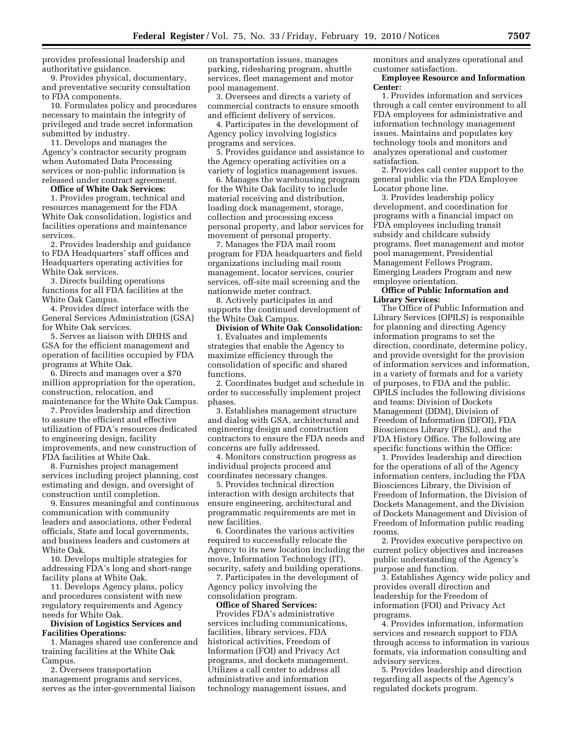provides professional leadership and authoritative guidance.

9. Provides physical, documentary, and preventative security consultation to FDA components.

10. Formulates policy and procedures necessary to maintain the integrity of privileged and trade secret information submitted by industry.

11. Develops and manages the Agency's contractor security program when Automated Data Processing services or non-public information is released under contract agreement.

### **Office of White Oak Services:**

1. Provides program, technical and resources management for the FDA White Oak consolidation, logistics and facilities operations and maintenance services.

2. Provides leadership and guidance to FDA Headquarters' staff offices and Headquarters operating activities for White Oak services.

3. Directs building operations functions for all FDA facilities at the White Oak Campus.

4. Provides direct interface with the General Services Administration (GSA) for White Oak services.

5. Serves as liaison with DHHS and GSA for the efficient management and operation of facilities occupied by FDA programs at White Oak.

6. Directs and manages over a \$70 million appropriation for the operation, construction, relocation, and maintenance for the White Oak Campus.

7. Provides leadership and direction to assure the efficient and effective utilization of FDA's resources dedicated to engineering design, facility improvements, and new construction of FDA facilities at White Oak.

8. Furnishes project management services including project planning, cost estimating and design, and oversight of construction until completion.

9. Ensures meaningful and continuous communication with community leaders and associations, other Federal officials, State and local governments, and business leaders and customers at White Oak.

10. Develops multiple strategies for addressing FDA's long and short-range facility plans at White Oak.

11. Develops Agency plans, policy and procedures consistent with new regulatory requirements and Agency needs for White Oak.

#### **Division of Logistics Services and Facilities Operations:**

1. Manages shared use conference and training facilities at the White Oak Campus.

2. Oversees transportation management programs and services, serves as the inter-governmental liaison on transportation issues, manages parking, ridesharing program, shuttle services, fleet management and motor pool management.

3. Oversees and directs a variety of commercial contracts to ensure smooth and efficient delivery of services.

4. Participates in the development of Agency policy involving logistics programs and services.

5. Provides guidance and assistance to the Agency operating activities on a variety of logistics management issues.

6. Manages the warehousing program for the White Oak facility to include material receiving and distribution, loading dock management, storage, collection and processing excess personal property, and labor services for movement of personal property.

7. Manages the FDA mail room program for FDA headquarters and field organizations including mail room management, locator services, courier services, off-site mail screening and the nationwide meter contract.

8. Actively participates in and supports the continued development of the White Oak Campus.

**Division of White Oak Consolidation:**  1. Evaluates and implements strategies that enable the Agency to maximize efficiency through the consolidation of specific and shared functions.

2. Coordinates budget and schedule in order to successfully implement project phases.

3. Establishes management structure and dialog with GSA, architectural and engineering design and construction contractors to ensure the FDA needs and concerns are fully addressed.

4. Monitors construction progress as individual projects proceed and coordinates necessary changes.

5. Provides technical direction interaction with design architects that ensure engineering, architectural and programmatic requirements are met in new facilities.

6. Coordinates the various activities required to successfully relocate the Agency to its new location including the move, Information Technology (IT), security, safety and building operations.

7. Participates in the development of Agency policy involving the consolidation program.

**Office of Shared Services:** 

Provides FDA's administrative services including communications, facilities, library services, FDA historical activities, Freedom of Information (FOI) and Privacy Act programs, and dockets management. Utilizes a call center to address all administrative and information technology management issues, and

monitors and analyzes operational and customer satisfaction.

#### **Employee Resource and Information Center:**

1. Provides information and services through a call center environment to all FDA employees for administrative and information technology management issues. Maintains and populates key technology tools and monitors and analyzes operational and customer satisfaction.

2. Provides call center support to the general public via the FDA Employee Locator phone line.

3. Provides leadership policy development, and coordination for programs with a financial impact on FDA employees including transit subsidy and childcare subsidy programs, fleet management and motor pool management, Presidential Management Fellows Program, Emerging Leaders Program and new employee orientation.

#### **Office of Public Information and Library Services:**

The Office of Public Information and Library Services (OPILS) is responsible for planning and directing Agency information programs to set the direction, coordinate, determine policy, and provide oversight for the provision of information services and information, in a variety of formats and for a variety of purposes, to FDA and the public. OPILS includes the following divisions and teams: Division of Dockets Management (DDM), Division of Freedom of Information (DFOI), FDA Biosciences Library (FBSL), and the FDA History Office. The following are specific functions within the Office:

1. Provides leadership and direction for the operations of all of the Agency information centers, including the FDA Biosciences Library, the Division of Freedom of Information, the Division of Dockets Management, and the Division of Dockets Management and Division of Freedom of Information public reading rooms.

2. Provides executive perspective on current policy objectives and increases public understanding of the Agency's purpose and function.

3. Establishes Agency wide policy and provides overall direction and leadership for the Freedom of information (FOI) and Privacy Act programs.

4. Provides information, information services and research support to FDA through access to information in various formats, via information consulting and advisory services.

5. Provides leadership and direction regarding all aspects of the Agency's regulated dockets program.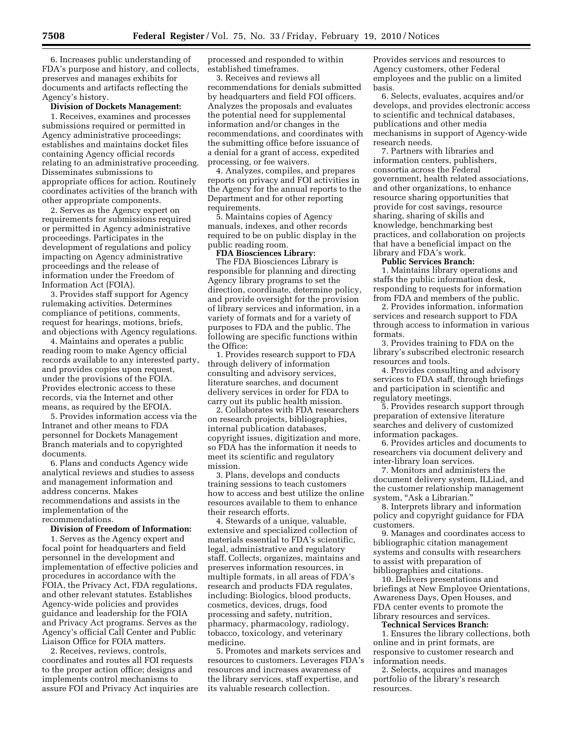6. Increases public understanding of FDA's purpose and history, and collects, preserves and manages exhibits for documents and artifacts reflecting the Agency's history.

#### **Division of Dockets Management:**

1. Receives, examines and processes submissions required or permitted in Agency administrative proceedings; establishes and maintains docket files containing Agency official records relating to an administrative proceeding. Disseminates submissions to appropriate offices for action. Routinely coordinates activities of the branch with other appropriate components.

2. Serves as the Agency expert on requirements for submissions required or permitted in Agency administrative proceedings. Participates in the development of regulations and policy impacting on Agency administrative proceedings and the release of information under the Freedom of Information Act (FOIA).

3. Provides staff support for Agency rulemaking activities. Determines compliance of petitions, comments, request for hearings, motions, briefs, and objections with Agency regulations.

4. Maintains and operates a public reading room to make Agency official records available to any interested party, and provides copies upon request, under the provisions of the FOIA. Provides electronic access to these records, via the Internet and other means, as required by the EFOIA.

5. Provides information access via the Intranet and other means to FDA personnel for Dockets Management Branch materials and to copyrighted documents.

6. Plans and conducts Agency wide analytical reviews and studies to assess and management information and address concerns. Makes recommendations and assists in the implementation of the recommendations.

#### **Division of Freedom of Information:**

1. Serves as the Agency expert and focal point for headquarters and field personnel in the development and implementation of effective policies and procedures in accordance with the FOIA, the Privacy Act, FDA regulations, and other relevant statutes. Establishes Agency-wide policies and provides guidance and leadership for the FOIA and Privacy Act programs. Serves as the Agency's official Call Center and Public Liaison Office for FOIA matters.

2. Receives, reviews, controls, coordinates and routes all FOI requests to the proper action office; designs and implements control mechanisms to assure FOI and Privacy Act inquiries are processed and responded to within established timeframes.

3. Receives and reviews all recommendations for denials submitted by headquarters and field FOI officers. Analyzes the proposals and evaluates the potential need for supplemental information and/or changes in the recommendations, and coordinates with the submitting office before issuance of a denial for a grant of access, expedited processing, or fee waivers.

4. Analyzes, compiles, and prepares reports on privacy and FOI activities in the Agency for the annual reports to the Department and for other reporting requirements.

5. Maintains copies of Agency manuals, indexes, and other records required to be on public display in the public reading room.

# **FDA Biosciences Library:**

The FDA Biosciences Library is responsible for planning and directing Agency library programs to set the direction, coordinate, determine policy, and provide oversight for the provision of library services and information, in a variety of formats and for a variety of purposes to FDA and the public. The following are specific functions within the Office:

1. Provides research support to FDA through delivery of information consulting and advisory services, literature searches, and document delivery services in order for FDA to carry out its public health mission.

2. Collaborates with FDA researchers on research projects, bibliographies, internal publication databases, copyright issues, digitization and more, so FDA has the information it needs to meet its scientific and regulatory mission.

3. Plans, develops and conducts training sessions to teach customers how to access and best utilize the online resources available to them to enhance their research efforts.

4. Stewards of a unique, valuable, extensive and specialized collection of materials essential to FDA's scientific, legal, administrative and regulatory staff. Collects, organizes, maintains and preserves information resources, in multiple formats, in all areas of FDA's research and products FDA regulates, including: Biologics, blood products, cosmetics, devices, drugs, food processing and safety, nutrition, pharmacy, pharmacology, radiology, tobacco, toxicology, and veterinary medicine.

5. Promotes and markets services and resources to customers. Leverages FDA's resources and increases awareness of the library services, staff expertise, and its valuable research collection.

Provides services and resources to Agency customers, other Federal employees and the public on a limited basis.

6. Selects, evaluates, acquires and/or develops, and provides electronic access to scientific and technical databases, publications and other media mechanisms in support of Agency-wide research needs.

7. Partners with libraries and information centers, publishers, consortia across the Federal government, health related associations, and other organizations, to enhance resource sharing opportunities that provide for cost savings, resource sharing, sharing of skills and knowledge, benchmarking best practices, and collaboration on projects that have a beneficial impact on the library and FDA's work.

**Public Services Branch:** 

1. Maintains library operations and staffs the public information desk, responding to requests for information from FDA and members of the public.

2. Provides information, information services and research support to FDA through access to information in various formats.

3. Provides training to FDA on the library's subscribed electronic research resources and tools.

4. Provides consulting and advisory services to FDA staff, through briefings and participation in scientific and regulatory meetings.

5. Provides research support through preparation of extensive literature searches and delivery of customized information packages.

6. Provides articles and documents to researchers via document delivery and inter-library loan services.

7. Monitors and administers the document delivery system, ILLiad, and the customer relationship management system, "Ask a Librarian."

8. Interprets library and information policy and copyright guidance for FDA customers.

9. Manages and coordinates access to bibliographic citation management systems and consults with researchers to assist with preparation of bibliographies and citations.

10. Delivers presentations and briefings at New Employee Orientations, Awareness Days, Open Houses, and FDA center events to promote the library resources and services.

#### **Technical Services Branch:**

1. Ensures the library collections, both online and in print formats, are responsive to customer research and information needs.

2. Selects, acquires and manages portfolio of the library's research resources.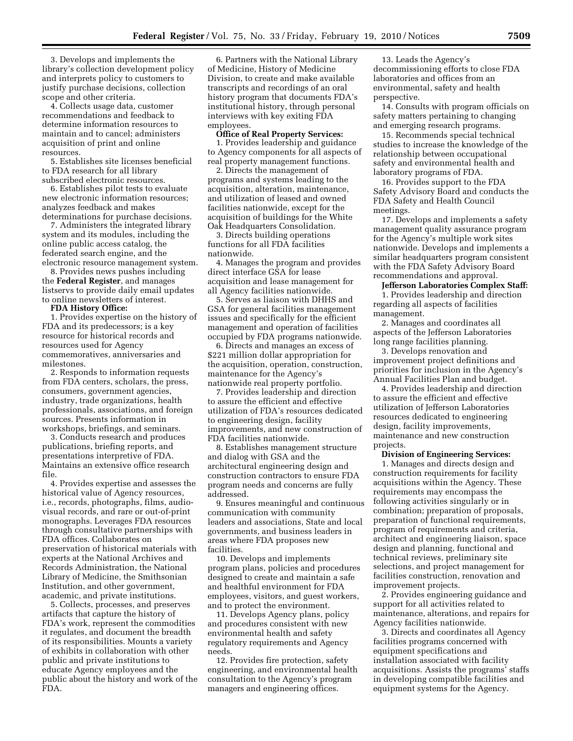3. Develops and implements the library's collection development policy and interprets policy to customers to justify purchase decisions, collection scope and other criteria.

4. Collects usage data, customer recommendations and feedback to determine information resources to maintain and to cancel; administers acquisition of print and online resources.

5. Establishes site licenses beneficial to FDA research for all library subscribed electronic resources.

6. Establishes pilot tests to evaluate new electronic information resources; analyzes feedback and makes determinations for purchase decisions.

7. Administers the integrated library system and its modules, including the online public access catalog, the federated search engine, and the electronic resource management system.

8. Provides news pushes including the **Federal Register**, and manages listservs to provide daily email updates to online newsletters of interest.

**FDA History Office:** 

1. Provides expertise on the history of FDA and its predecessors; is a key resource for historical records and resources used for Agency commemoratives, anniversaries and milestones.

2. Responds to information requests from FDA centers, scholars, the press, consumers, government agencies, industry, trade organizations, health professionals, associations, and foreign sources. Presents information in workshops, briefings, and seminars.

3. Conducts research and produces publications, briefing reports, and presentations interpretive of FDA. Maintains an extensive office research file.

4. Provides expertise and assesses the historical value of Agency resources, i.e., records, photographs, films, audiovisual records, and rare or out-of-print monographs. Leverages FDA resources through consultative partnerships with FDA offices. Collaborates on preservation of historical materials with experts at the National Archives and Records Administration, the National Library of Medicine, the Smithsonian Institution, and other government, academic, and private institutions.

5. Collects, processes, and preserves artifacts that capture the history of FDA's work, represent the commodities it regulates, and document the breadth of its responsibilities. Mounts a variety of exhibits in collaboration with other public and private institutions to educate Agency employees and the public about the history and work of the FDA.

6. Partners with the National Library of Medicine, History of Medicine Division, to create and make available transcripts and recordings of an oral history program that documents FDA's institutional history, through personal interviews with key exiting FDA employees.

## **Office of Real Property Services:**

1. Provides leadership and guidance to Agency components for all aspects of real property management functions.

2. Directs the management of programs and systems leading to the acquisition, alteration, maintenance, and utilization of leased and owned facilities nationwide, except for the acquisition of buildings for the White Oak Headquarters Consolidation.

3. Directs building operations functions for all FDA facilities nationwide.

4. Manages the program and provides direct interface GSA for lease acquisition and lease management for all Agency facilities nationwide.

5. Serves as liaison with DHHS and GSA for general facilities management issues and specifically for the efficient management and operation of facilities occupied by FDA programs nationwide.

6. Directs and manages an excess of \$221 million dollar appropriation for the acquisition, operation, construction, maintenance for the Agency's nationwide real property portfolio.

7. Provides leadership and direction to assure the efficient and effective utilization of FDA's resources dedicated to engineering design, facility improvements, and new construction of FDA facilities nationwide.

8. Establishes management structure and dialog with GSA and the architectural engineering design and construction contractors to ensure FDA program needs and concerns are fully addressed.

9. Ensures meaningful and continuous communication with community leaders and associations, State and local governments, and business leaders in areas where FDA proposes new facilities.

10. Develops and implements program plans, policies and procedures designed to create and maintain a safe and healthful environment for FDA employees, visitors, and guest workers, and to protect the environment.

11. Develops Agency plans, policy and procedures consistent with new environmental health and safety regulatory requirements and Agency needs.

12. Provides fire protection, safety engineering, and environmental health consultation to the Agency's program managers and engineering offices.

13. Leads the Agency's decommissioning efforts to close FDA laboratories and offices from an environmental, safety and health perspective.

14. Consults with program officials on safety matters pertaining to changing and emerging research programs.

15. Recommends special technical studies to increase the knowledge of the relationship between occupational safety and environmental health and laboratory programs of FDA.

16. Provides support to the FDA Safety Advisory Board and conducts the FDA Safety and Health Council meetings.

17. Develops and implements a safety management quality assurance program for the Agency's multiple work sites nationwide. Develops and implements a similar headquarters program consistent with the FDA Safety Advisory Board recommendations and approval.

#### **Jefferson Laboratories Complex Staff:**

1. Provides leadership and direction regarding all aspects of facilities management.

2. Manages and coordinates all aspects of the Jefferson Laboratories long range facilities planning.

3. Develops renovation and improvement project definitions and priorities for inclusion in the Agency's Annual Facilities Plan and budget.

4. Provides leadership and direction to assure the efficient and effective utilization of Jefferson Laboratories resources dedicated to engineering design, facility improvements, maintenance and new construction projects.

#### **Division of Engineering Services:**

1. Manages and directs design and construction requirements for facility acquisitions within the Agency. These requirements may encompass the following activities singularly or in combination; preparation of proposals, preparation of functional requirements, program of requirements and criteria, architect and engineering liaison, space design and planning, functional and technical reviews, preliminary site selections, and project management for facilities construction, renovation and improvement projects.

2. Provides engineering guidance and support for all activities related to maintenance, alterations, and repairs for Agency facilities nationwide.

3. Directs and coordinates all Agency facilities programs concerned with equipment specifications and installation associated with facility acquisitions. Assists the programs' staffs in developing compatible facilities and equipment systems for the Agency.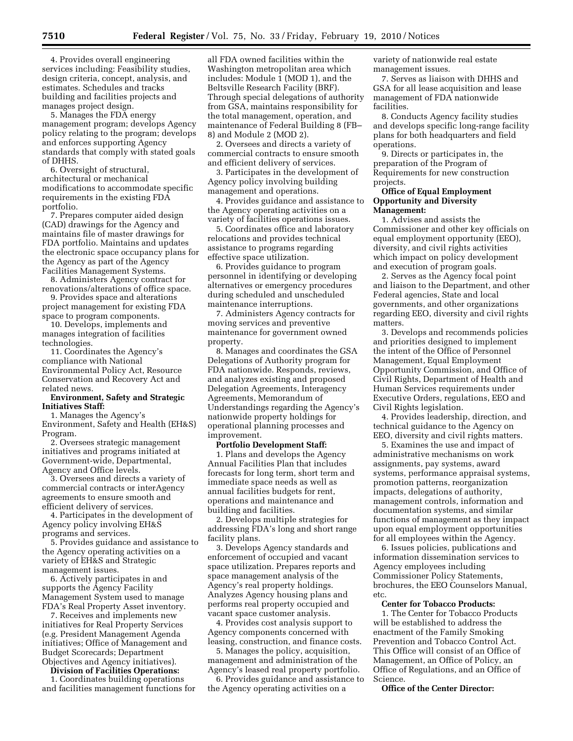4. Provides overall engineering services including: Feasibility studies, design criteria, concept, analysis, and estimates. Schedules and tracks building and facilities projects and manages project design.

5. Manages the FDA energy management program; develops Agency policy relating to the program; develops and enforces supporting Agency standards that comply with stated goals of DHHS.

6. Oversight of structural, architectural or mechanical modifications to accommodate specific requirements in the existing FDA portfolio.

7. Prepares computer aided design (CAD) drawings for the Agency and maintains file of master drawings for FDA portfolio. Maintains and updates the electronic space occupancy plans for the Agency as part of the Agency Facilities Management Systems.

8. Administers Agency contract for renovations/alterations of office space.

9. Provides space and alterations project management for existing FDA space to program components.

10. Develops, implements and manages integration of facilities technologies.

11. Coordinates the Agency's compliance with National Environmental Policy Act, Resource Conservation and Recovery Act and related news.

#### **Environment, Safety and Strategic Initiatives Staff:**

1. Manages the Agency's

Environment, Safety and Health (EH&S) Program.

2. Oversees strategic management initiatives and programs initiated at Government-wide, Departmental, Agency and Office levels.

3. Oversees and directs a variety of commercial contracts or interAgency agreements to ensure smooth and efficient delivery of services.

4. Participates in the development of Agency policy involving EH&S programs and services.

5. Provides guidance and assistance to the Agency operating activities on a variety of EH&S and Strategic management issues.

6. Actively participates in and supports the Agency Facility Management System used to manage FDA's Real Property Asset inventory.

7. Receives and implements new initiatives for Real Property Services (e.g. President Management Agenda initiatives; Office of Management and Budget Scorecards; Department Objectives and Agency initiatives).

**Division of Facilities Operations:** 

1. Coordinates building operations and facilities management functions for all FDA owned facilities within the Washington metropolitan area which includes: Module 1 (MOD 1), and the Beltsville Research Facility (BRF). Through special delegations of authority from GSA, maintains responsibility for the total management, operation, and maintenance of Federal Building 8 (FB– 8) and Module 2 (MOD 2).

2. Oversees and directs a variety of commercial contracts to ensure smooth and efficient delivery of services.

3. Participates in the development of Agency policy involving building management and operations.

4. Provides guidance and assistance to the Agency operating activities on a variety of facilities operations issues.

5. Coordinates office and laboratory relocations and provides technical assistance to programs regarding effective space utilization.

6. Provides guidance to program personnel in identifying or developing alternatives or emergency procedures during scheduled and unscheduled maintenance interruptions.

7. Administers Agency contracts for moving services and preventive maintenance for government owned property.

8. Manages and coordinates the GSA Delegations of Authority program for FDA nationwide. Responds, reviews, and analyzes existing and proposed Delegation Agreements, Interagency Agreements, Memorandum of Understandings regarding the Agency's nationwide property holdings for operational planning processes and improvement.

#### **Portfolio Development Staff:**

1. Plans and develops the Agency Annual Facilities Plan that includes forecasts for long term, short term and immediate space needs as well as annual facilities budgets for rent, operations and maintenance and building and facilities.

2. Develops multiple strategies for addressing FDA's long and short range facility plans.

3. Develops Agency standards and enforcement of occupied and vacant space utilization. Prepares reports and space management analysis of the Agency's real property holdings. Analyzes Agency housing plans and performs real property occupied and vacant space customer analysis.

4. Provides cost analysis support to Agency components concerned with leasing, construction, and finance costs.

5. Manages the policy, acquisition, management and administration of the Agency's leased real property portfolio.

6. Provides guidance and assistance to the Agency operating activities on a

variety of nationwide real estate management issues.

7. Serves as liaison with DHHS and GSA for all lease acquisition and lease management of FDA nationwide facilities.

8. Conducts Agency facility studies and develops specific long-range facility plans for both headquarters and field operations.

9. Directs or participates in, the preparation of the Program of Requirements for new construction projects.

## **Office of Equal Employment Opportunity and Diversity Management:**

1. Advises and assists the Commissioner and other key officials on equal employment opportunity (EEO), diversity, and civil rights activities which impact on policy development and execution of program goals.

2. Serves as the Agency focal point and liaison to the Department, and other Federal agencies, State and local governments, and other organizations regarding EEO, diversity and civil rights matters.

3. Develops and recommends policies and priorities designed to implement the intent of the Office of Personnel Management, Equal Employment Opportunity Commission, and Office of Civil Rights, Department of Health and Human Services requirements under Executive Orders, regulations, EEO and Civil Rights legislation.

4. Provides leadership, direction, and technical guidance to the Agency on EEO, diversity and civil rights matters.

5. Examines the use and impact of administrative mechanisms on work assignments, pay systems, award systems, performance appraisal systems, promotion patterns, reorganization impacts, delegations of authority, management controls, information and documentation systems, and similar functions of management as they impact upon equal employment opportunities for all employees within the Agency.

6. Issues policies, publications and information dissemination services to Agency employees including Commissioner Policy Statements, brochures, the EEO Counselors Manual, etc.

#### **Center for Tobacco Products:**

1. The Center for Tobacco Products will be established to address the enactment of the Family Smoking Prevention and Tobacco Control Act. This Office will consist of an Office of Management, an Office of Policy, an Office of Regulations, and an Office of Science.

**Office of the Center Director:**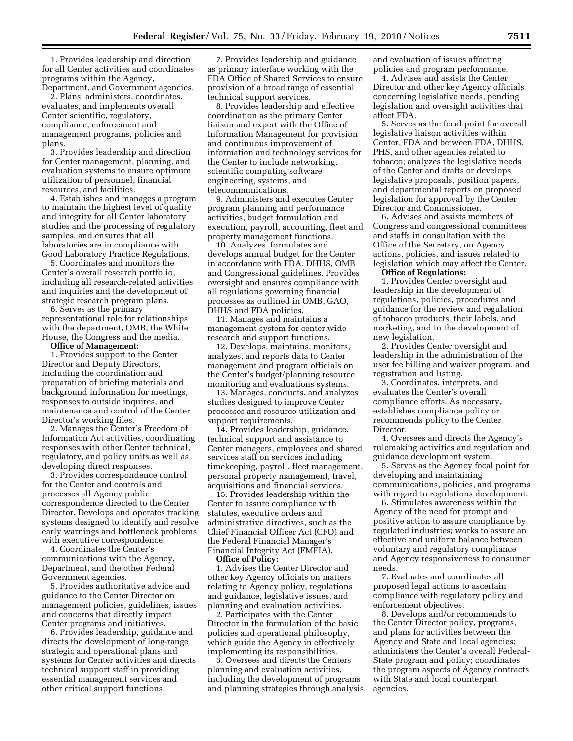1. Provides leadership and direction for all Center activities and coordinates programs within the Agency, Department, and Government agencies.

2. Plans, administers, coordinates, evaluates, and implements overall Center scientific, regulatory, compliance, enforcement and management programs, policies and plans.

3. Provides leadership and direction for Center management, planning, and evaluation systems to ensure optimum utilization of personnel, financial resources, and facilities.

4. Establishes and manages a program to maintain the highest level of quality and integrity for all Center laboratory studies and the processing of regulatory samples, and ensures that all laboratories are in compliance with Good Laboratory Practice Regulations.

5. Coordinates and monitors the Center's overall research portfolio, including all research-related activities and inquiries and the development of strategic research program plans.

6. Serves as the primary representational role for relationships with the department, OMB, the White House, the Congress and the media.

#### **Office of Management:**

1. Provides support to the Center Director and Deputy Directors, including the coordination and preparation of briefing materials and background information for meetings, responses to outside inquires, and maintenance and control of the Center Director's working files.

2. Manages the Center's Freedom of Information Act activities, coordinating responses with other Center technical, regulatory, and policy units as well as developing direct responses.

3. Provides correspondence control for the Center and controls and processes all Agency public correspondence directed to the Center Director. Develops and operates tracking systems designed to identify and resolve early warnings and bottleneck problems with executive correspondence.

4. Coordinates the Center's communications with the Agency, Department, and the other Federal Government agencies.

5. Provides authoritative advice and guidance to the Center Director on management policies, guidelines, issues and concerns that directly impact Center programs and initiatives.

6. Provides leadership, guidance and directs the development of long-range strategic and operational plans and systems for Center activities and directs technical support staff in providing essential management services and other critical support functions.

7. Provides leadership and guidance as primary interface working with the FDA Office of Shared Services to ensure provision of a broad range of essential technical support services.

8. Provides leadership and effective coordination as the primary Center liaison and expert with the Office of Information Management for provision and continuous improvement of information and technology services for the Center to include networking, scientific computing software engineering, systems, and telecommunications.

9. Administers and executes Center program planning and performance activities, budget formulation and execution, payroll, accounting, fleet and property management functions.

10. Analyzes, formulates and develops annual budget for the Center in accordance with FDA, DHHS, OMB and Congressional guidelines. Provides oversight and ensures compliance with all regulations governing financial processes as outlined in OMB, GAO, DHHS and FDA policies.

11. Manages and maintains a management system for center wide research and support functions.

12. Develops, maintains, monitors, analyzes, and reports data to Center management and program officials on the Center's budget/planning resource monitoring and evaluations systems.

13. Manages, conducts, and analyzes studies designed to improve Center processes and resource utilization and support requirements.

14. Provides leadership, guidance, technical support and assistance to Center managers, employees and shared services staff on services including timekeeping, payroll, fleet management, personal property management, travel, acquisitions and financial services.

15. Provides leadership within the Center to assure compliance with statutes, executive orders and administrative directives, such as the Chief Financial Officer Act (CFO) and the Federal Financial Manager's Financial Integrity Act (FMFIA). **Office of Policy:** 

1. Advises the Center Director and other key Agency officials on matters relating to Agency policy, regulations and guidance, legislative issues, and planning and evaluation activities.

2. Participates with the Center Director in the formulation of the basic policies and operational philosophy, which guide the Agency in effectively implementing its responsibilities.

3. Oversees and directs the Centers planning and evaluation activities, including the development of programs and planning strategies through analysis and evaluation of issues affecting policies and program performance.

4. Advises and assists the Center Director and other key Agency officials concerning legislative needs, pending legislation and oversight activities that affect FDA.

5. Serves as the focal point for overall legislative liaison activities within Center, FDA and between FDA, DHHS, PHS, and other agencies related to tobacco; analyzes the legislative needs of the Center and drafts or develops legislative proposals, position papers, and departmental reports on proposed legislation for approval by the Center Director and Commissioner.

6. Advises and assists members of Congress and congressional committees and staffs in consultation with the Office of the Secretary, on Agency actions, policies, and issues related to legislation which may affect the Center. **Office of Regulations:** 

1. Provides Center oversight and leadership in the development of regulations, policies, procedures and guidance for the review and regulation of tobacco products, their labels, and marketing, and in the development of new legislation.

2. Provides Center oversight and leadership in the administration of the user fee billing and waiver program, and registration and listing.

3. Coordinates, interprets, and evaluates the Center's overall compliance efforts. As necessary, establishes compliance policy or recommends policy to the Center Director.

4. Oversees and directs the Agency's rulemaking activities and regulation and guidance development system.

5. Serves as the Agency focal point for developing and maintaining communications, policies, and programs with regard to regulations development.

6. Stimulates awareness within the Agency of the need for prompt and positive action to assure compliance by regulated industries; works to assure an effective and uniform balance between voluntary and regulatory compliance and Agency responsiveness to consumer needs.

7. Evaluates and coordinates all proposed legal actions to ascertain compliance with regulatory policy and enforcement objectives.

8. Develops and/or recommends to the Center Director policy, programs, and plans for activities between the Agency and State and local agencies; administers the Center's overall Federal-State program and policy; coordinates the program aspects of Agency contracts with State and local counterpart agencies.